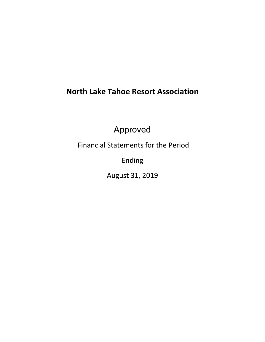# **North Lake Tahoe Resort Association**

Approved

Financial Statements for the Period

Ending

August 31, 2019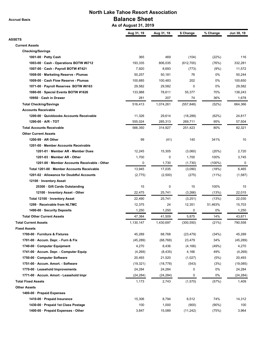**Accrual Basis**

## **North Lake Tahoe Resort Association Balance Sheet**

 **As of August 31, 2019**

| <b>ASSETS</b><br><b>Current Assets</b><br><b>Checking/Savings</b><br>365<br>469<br>1001-00 $\cdot$ Petty Cash<br>(104)<br>(22%)<br>116<br>806,035<br>(76%)<br>332,281<br>1003-00 · Cash - Operations BOTW #6712<br>193,335<br>(612, 700)<br>8,693<br>1007-00 · Cash - Payroll BOTW #7421<br>7,920<br>(773)<br>(9%)<br>11,572<br>76<br>0%<br>50,257<br>50,244<br>1008-00 · Marketing Reserve - Plumas<br>50,181<br>202<br>0%<br>1009-00 · Cash Flow Reserve - Plumas<br>100,685<br>100,483<br>100,650<br>0<br>0%<br>1071-00 · Payroll Reserves BOTW #8163<br>29,582<br>29,582<br>29,582<br>1080-00 · Special Events BOTW #1626<br>133,988<br>78,611<br>55,377<br>70%<br>138,243<br>10950 · Cash in Drawer<br>281<br>207<br>74<br>36%<br>1,678<br><b>Total Checking/Savings</b><br>516,413<br>1,074,261<br>(557, 848)<br>(52%)<br>664,366<br><b>Accounts Receivable</b><br>11,326<br>1200-00 Quickbooks Accounts Receivable<br>29,614<br>(18, 288)<br>(62%)<br>24,817<br>95%<br>$1290-00 \cdot A/R - TOT$<br>555,024<br>285,313<br>269,711<br>57,504<br>314,927<br>80%<br>82,321<br><b>Total Accounts Receivable</b><br>566,350<br>251,423<br><b>Other Current Assets</b><br>99<br>$1200-99 \cdot AR$ Other<br>(41)<br>140<br>341%<br>10<br>1201-00 · Member Accounts Receivable<br>1201-01 · Member AR - Member Dues<br>12,245<br>15,305<br>(3,060)<br>(20%)<br>2,720<br>1,700<br>0<br>1201-03 · Member AR - Other<br>1,700<br>100%<br>3,745<br>1201-00 · Member Accounts Receivable - Other<br>0<br>1,730<br>$(100\%)$<br>0<br>(1,730)<br>Total 1201-00 · Member Accounts Receivable<br>13,945<br>17,035<br>(3,090)<br>(18%)<br>6,465<br>1201-02 · Allowance for Doubtful Accounts<br>(2, 775)<br>(2,500)<br>(275)<br>$(11\%)$<br>12100 · Inventory Asset<br>25300 · Gift Cards Outstanding<br>15<br>0<br>15<br>100%<br>15<br>22,015<br>12100 · Inventory Asset - Other<br>22,475<br>25,741<br>(3,266)<br>(13%)<br>Total 12100 · Inventory Asset<br>22,490<br>25,741<br>(3,251)<br>(13%)<br>22,030<br>1299 · Receivable from NLTMC<br>12,375<br>24<br>12,351<br>51,463%<br>15,703<br>1,250<br>0%<br>1,250<br>0<br>1,250<br>1490-00 · Security Deposits<br><b>Total Other Current Assets</b><br>47,384<br>5,875<br>14%<br>43,871<br>41,509<br><b>Total Current Assets</b><br>1,430,697<br>(21%)<br>1,130,147<br>(300, 550)<br>790,558<br><b>Fixed Assets</b><br>1700-00 · Furniture & Fixtures<br>68,768<br>45,289<br>(23, 479)<br>(34%)<br>45,289<br>34%<br>1701-00 · Accum. Depr. - Furn & Fix<br>(45, 289)<br>(68, 768)<br>23,479<br>(45, 289)<br>1740-00 · Computer Equipment<br>4,270<br>8,436<br>(4, 166)<br>(49%)<br>4,270<br>1741-00 · Accum. Depr. - Computer Equip<br>49%<br>(4,269)<br>4,166<br>(4,269)<br>(8, 435)<br>1750-00 · Computer Software<br>20,493<br>21,520<br>(1,027)<br>(5%)<br>20,493<br>1751-00 · Accum. Amort. - Software<br>(19, 321)<br>(543)<br>(3%)<br>(19,085)<br>(18, 778)<br>0%<br>1770-00 · Leasehold Improvements<br>24,284<br>24,284<br>0<br>24,284<br>0%<br>1771-00 · Accum. Amort - Leasehold Impr<br>(24, 284)<br>(24, 284)<br>0<br>(24, 284)<br><b>Total Fixed Assets</b><br>1,173<br>2,743<br>(1,570)<br>(57%)<br>1,409<br><b>Other Assets</b><br>1400-00 · Prepaid Expenses<br>1410-00 · Prepaid Insurance<br>74%<br>15,306<br>8,794<br>6,512<br>14,312<br>1430-00 · Prepaid 1st Class Postage<br>100<br>1,000<br>(900)<br>$(90\%)$<br>100<br>1400-00 · Prepaid Expenses - Other<br>3,847<br>15,089<br>(11, 242)<br>(75%)<br>3,964 | Aug 31, 19 | Aug 31, 18 | \$ Change | % Change | Jun 30, 19 |
|------------------------------------------------------------------------------------------------------------------------------------------------------------------------------------------------------------------------------------------------------------------------------------------------------------------------------------------------------------------------------------------------------------------------------------------------------------------------------------------------------------------------------------------------------------------------------------------------------------------------------------------------------------------------------------------------------------------------------------------------------------------------------------------------------------------------------------------------------------------------------------------------------------------------------------------------------------------------------------------------------------------------------------------------------------------------------------------------------------------------------------------------------------------------------------------------------------------------------------------------------------------------------------------------------------------------------------------------------------------------------------------------------------------------------------------------------------------------------------------------------------------------------------------------------------------------------------------------------------------------------------------------------------------------------------------------------------------------------------------------------------------------------------------------------------------------------------------------------------------------------------------------------------------------------------------------------------------------------------------------------------------------------------------------------------------------------------------------------------------------------------------------------------------------------------------------------------------------------------------------------------------------------------------------------------------------------------------------------------------------------------------------------------------------------------------------------------------------------------------------------------------------------------------------------------------------------------------------------------------------------------------------------------------------------------------------------------------------------------------------------------------------------------------------------------------------------------------------------------------------------------------------------------------------------------------------------------------------------------------------------------------------------------------------------------------------------------------------------------------------------------------------------------------------------------------------------------------------------------------------------------------------------------------------------------------------------------------------------------------------------------------------------------------------------------------------------------------------------|------------|------------|-----------|----------|------------|
|                                                                                                                                                                                                                                                                                                                                                                                                                                                                                                                                                                                                                                                                                                                                                                                                                                                                                                                                                                                                                                                                                                                                                                                                                                                                                                                                                                                                                                                                                                                                                                                                                                                                                                                                                                                                                                                                                                                                                                                                                                                                                                                                                                                                                                                                                                                                                                                                                                                                                                                                                                                                                                                                                                                                                                                                                                                                                                                                                                                                                                                                                                                                                                                                                                                                                                                                                                                                                                                                              |            |            |           |          |            |
|                                                                                                                                                                                                                                                                                                                                                                                                                                                                                                                                                                                                                                                                                                                                                                                                                                                                                                                                                                                                                                                                                                                                                                                                                                                                                                                                                                                                                                                                                                                                                                                                                                                                                                                                                                                                                                                                                                                                                                                                                                                                                                                                                                                                                                                                                                                                                                                                                                                                                                                                                                                                                                                                                                                                                                                                                                                                                                                                                                                                                                                                                                                                                                                                                                                                                                                                                                                                                                                                              |            |            |           |          |            |
|                                                                                                                                                                                                                                                                                                                                                                                                                                                                                                                                                                                                                                                                                                                                                                                                                                                                                                                                                                                                                                                                                                                                                                                                                                                                                                                                                                                                                                                                                                                                                                                                                                                                                                                                                                                                                                                                                                                                                                                                                                                                                                                                                                                                                                                                                                                                                                                                                                                                                                                                                                                                                                                                                                                                                                                                                                                                                                                                                                                                                                                                                                                                                                                                                                                                                                                                                                                                                                                                              |            |            |           |          |            |
|                                                                                                                                                                                                                                                                                                                                                                                                                                                                                                                                                                                                                                                                                                                                                                                                                                                                                                                                                                                                                                                                                                                                                                                                                                                                                                                                                                                                                                                                                                                                                                                                                                                                                                                                                                                                                                                                                                                                                                                                                                                                                                                                                                                                                                                                                                                                                                                                                                                                                                                                                                                                                                                                                                                                                                                                                                                                                                                                                                                                                                                                                                                                                                                                                                                                                                                                                                                                                                                                              |            |            |           |          |            |
|                                                                                                                                                                                                                                                                                                                                                                                                                                                                                                                                                                                                                                                                                                                                                                                                                                                                                                                                                                                                                                                                                                                                                                                                                                                                                                                                                                                                                                                                                                                                                                                                                                                                                                                                                                                                                                                                                                                                                                                                                                                                                                                                                                                                                                                                                                                                                                                                                                                                                                                                                                                                                                                                                                                                                                                                                                                                                                                                                                                                                                                                                                                                                                                                                                                                                                                                                                                                                                                                              |            |            |           |          |            |
|                                                                                                                                                                                                                                                                                                                                                                                                                                                                                                                                                                                                                                                                                                                                                                                                                                                                                                                                                                                                                                                                                                                                                                                                                                                                                                                                                                                                                                                                                                                                                                                                                                                                                                                                                                                                                                                                                                                                                                                                                                                                                                                                                                                                                                                                                                                                                                                                                                                                                                                                                                                                                                                                                                                                                                                                                                                                                                                                                                                                                                                                                                                                                                                                                                                                                                                                                                                                                                                                              |            |            |           |          |            |
|                                                                                                                                                                                                                                                                                                                                                                                                                                                                                                                                                                                                                                                                                                                                                                                                                                                                                                                                                                                                                                                                                                                                                                                                                                                                                                                                                                                                                                                                                                                                                                                                                                                                                                                                                                                                                                                                                                                                                                                                                                                                                                                                                                                                                                                                                                                                                                                                                                                                                                                                                                                                                                                                                                                                                                                                                                                                                                                                                                                                                                                                                                                                                                                                                                                                                                                                                                                                                                                                              |            |            |           |          |            |
|                                                                                                                                                                                                                                                                                                                                                                                                                                                                                                                                                                                                                                                                                                                                                                                                                                                                                                                                                                                                                                                                                                                                                                                                                                                                                                                                                                                                                                                                                                                                                                                                                                                                                                                                                                                                                                                                                                                                                                                                                                                                                                                                                                                                                                                                                                                                                                                                                                                                                                                                                                                                                                                                                                                                                                                                                                                                                                                                                                                                                                                                                                                                                                                                                                                                                                                                                                                                                                                                              |            |            |           |          |            |
|                                                                                                                                                                                                                                                                                                                                                                                                                                                                                                                                                                                                                                                                                                                                                                                                                                                                                                                                                                                                                                                                                                                                                                                                                                                                                                                                                                                                                                                                                                                                                                                                                                                                                                                                                                                                                                                                                                                                                                                                                                                                                                                                                                                                                                                                                                                                                                                                                                                                                                                                                                                                                                                                                                                                                                                                                                                                                                                                                                                                                                                                                                                                                                                                                                                                                                                                                                                                                                                                              |            |            |           |          |            |
|                                                                                                                                                                                                                                                                                                                                                                                                                                                                                                                                                                                                                                                                                                                                                                                                                                                                                                                                                                                                                                                                                                                                                                                                                                                                                                                                                                                                                                                                                                                                                                                                                                                                                                                                                                                                                                                                                                                                                                                                                                                                                                                                                                                                                                                                                                                                                                                                                                                                                                                                                                                                                                                                                                                                                                                                                                                                                                                                                                                                                                                                                                                                                                                                                                                                                                                                                                                                                                                                              |            |            |           |          |            |
|                                                                                                                                                                                                                                                                                                                                                                                                                                                                                                                                                                                                                                                                                                                                                                                                                                                                                                                                                                                                                                                                                                                                                                                                                                                                                                                                                                                                                                                                                                                                                                                                                                                                                                                                                                                                                                                                                                                                                                                                                                                                                                                                                                                                                                                                                                                                                                                                                                                                                                                                                                                                                                                                                                                                                                                                                                                                                                                                                                                                                                                                                                                                                                                                                                                                                                                                                                                                                                                                              |            |            |           |          |            |
|                                                                                                                                                                                                                                                                                                                                                                                                                                                                                                                                                                                                                                                                                                                                                                                                                                                                                                                                                                                                                                                                                                                                                                                                                                                                                                                                                                                                                                                                                                                                                                                                                                                                                                                                                                                                                                                                                                                                                                                                                                                                                                                                                                                                                                                                                                                                                                                                                                                                                                                                                                                                                                                                                                                                                                                                                                                                                                                                                                                                                                                                                                                                                                                                                                                                                                                                                                                                                                                                              |            |            |           |          |            |
|                                                                                                                                                                                                                                                                                                                                                                                                                                                                                                                                                                                                                                                                                                                                                                                                                                                                                                                                                                                                                                                                                                                                                                                                                                                                                                                                                                                                                                                                                                                                                                                                                                                                                                                                                                                                                                                                                                                                                                                                                                                                                                                                                                                                                                                                                                                                                                                                                                                                                                                                                                                                                                                                                                                                                                                                                                                                                                                                                                                                                                                                                                                                                                                                                                                                                                                                                                                                                                                                              |            |            |           |          |            |
|                                                                                                                                                                                                                                                                                                                                                                                                                                                                                                                                                                                                                                                                                                                                                                                                                                                                                                                                                                                                                                                                                                                                                                                                                                                                                                                                                                                                                                                                                                                                                                                                                                                                                                                                                                                                                                                                                                                                                                                                                                                                                                                                                                                                                                                                                                                                                                                                                                                                                                                                                                                                                                                                                                                                                                                                                                                                                                                                                                                                                                                                                                                                                                                                                                                                                                                                                                                                                                                                              |            |            |           |          |            |
|                                                                                                                                                                                                                                                                                                                                                                                                                                                                                                                                                                                                                                                                                                                                                                                                                                                                                                                                                                                                                                                                                                                                                                                                                                                                                                                                                                                                                                                                                                                                                                                                                                                                                                                                                                                                                                                                                                                                                                                                                                                                                                                                                                                                                                                                                                                                                                                                                                                                                                                                                                                                                                                                                                                                                                                                                                                                                                                                                                                                                                                                                                                                                                                                                                                                                                                                                                                                                                                                              |            |            |           |          |            |
|                                                                                                                                                                                                                                                                                                                                                                                                                                                                                                                                                                                                                                                                                                                                                                                                                                                                                                                                                                                                                                                                                                                                                                                                                                                                                                                                                                                                                                                                                                                                                                                                                                                                                                                                                                                                                                                                                                                                                                                                                                                                                                                                                                                                                                                                                                                                                                                                                                                                                                                                                                                                                                                                                                                                                                                                                                                                                                                                                                                                                                                                                                                                                                                                                                                                                                                                                                                                                                                                              |            |            |           |          |            |
|                                                                                                                                                                                                                                                                                                                                                                                                                                                                                                                                                                                                                                                                                                                                                                                                                                                                                                                                                                                                                                                                                                                                                                                                                                                                                                                                                                                                                                                                                                                                                                                                                                                                                                                                                                                                                                                                                                                                                                                                                                                                                                                                                                                                                                                                                                                                                                                                                                                                                                                                                                                                                                                                                                                                                                                                                                                                                                                                                                                                                                                                                                                                                                                                                                                                                                                                                                                                                                                                              |            |            |           |          |            |
|                                                                                                                                                                                                                                                                                                                                                                                                                                                                                                                                                                                                                                                                                                                                                                                                                                                                                                                                                                                                                                                                                                                                                                                                                                                                                                                                                                                                                                                                                                                                                                                                                                                                                                                                                                                                                                                                                                                                                                                                                                                                                                                                                                                                                                                                                                                                                                                                                                                                                                                                                                                                                                                                                                                                                                                                                                                                                                                                                                                                                                                                                                                                                                                                                                                                                                                                                                                                                                                                              |            |            |           |          |            |
|                                                                                                                                                                                                                                                                                                                                                                                                                                                                                                                                                                                                                                                                                                                                                                                                                                                                                                                                                                                                                                                                                                                                                                                                                                                                                                                                                                                                                                                                                                                                                                                                                                                                                                                                                                                                                                                                                                                                                                                                                                                                                                                                                                                                                                                                                                                                                                                                                                                                                                                                                                                                                                                                                                                                                                                                                                                                                                                                                                                                                                                                                                                                                                                                                                                                                                                                                                                                                                                                              |            |            |           |          |            |
|                                                                                                                                                                                                                                                                                                                                                                                                                                                                                                                                                                                                                                                                                                                                                                                                                                                                                                                                                                                                                                                                                                                                                                                                                                                                                                                                                                                                                                                                                                                                                                                                                                                                                                                                                                                                                                                                                                                                                                                                                                                                                                                                                                                                                                                                                                                                                                                                                                                                                                                                                                                                                                                                                                                                                                                                                                                                                                                                                                                                                                                                                                                                                                                                                                                                                                                                                                                                                                                                              |            |            |           |          |            |
|                                                                                                                                                                                                                                                                                                                                                                                                                                                                                                                                                                                                                                                                                                                                                                                                                                                                                                                                                                                                                                                                                                                                                                                                                                                                                                                                                                                                                                                                                                                                                                                                                                                                                                                                                                                                                                                                                                                                                                                                                                                                                                                                                                                                                                                                                                                                                                                                                                                                                                                                                                                                                                                                                                                                                                                                                                                                                                                                                                                                                                                                                                                                                                                                                                                                                                                                                                                                                                                                              |            |            |           |          |            |
|                                                                                                                                                                                                                                                                                                                                                                                                                                                                                                                                                                                                                                                                                                                                                                                                                                                                                                                                                                                                                                                                                                                                                                                                                                                                                                                                                                                                                                                                                                                                                                                                                                                                                                                                                                                                                                                                                                                                                                                                                                                                                                                                                                                                                                                                                                                                                                                                                                                                                                                                                                                                                                                                                                                                                                                                                                                                                                                                                                                                                                                                                                                                                                                                                                                                                                                                                                                                                                                                              |            |            |           |          |            |
|                                                                                                                                                                                                                                                                                                                                                                                                                                                                                                                                                                                                                                                                                                                                                                                                                                                                                                                                                                                                                                                                                                                                                                                                                                                                                                                                                                                                                                                                                                                                                                                                                                                                                                                                                                                                                                                                                                                                                                                                                                                                                                                                                                                                                                                                                                                                                                                                                                                                                                                                                                                                                                                                                                                                                                                                                                                                                                                                                                                                                                                                                                                                                                                                                                                                                                                                                                                                                                                                              |            |            |           |          |            |
|                                                                                                                                                                                                                                                                                                                                                                                                                                                                                                                                                                                                                                                                                                                                                                                                                                                                                                                                                                                                                                                                                                                                                                                                                                                                                                                                                                                                                                                                                                                                                                                                                                                                                                                                                                                                                                                                                                                                                                                                                                                                                                                                                                                                                                                                                                                                                                                                                                                                                                                                                                                                                                                                                                                                                                                                                                                                                                                                                                                                                                                                                                                                                                                                                                                                                                                                                                                                                                                                              |            |            |           |          | (1,587)    |
|                                                                                                                                                                                                                                                                                                                                                                                                                                                                                                                                                                                                                                                                                                                                                                                                                                                                                                                                                                                                                                                                                                                                                                                                                                                                                                                                                                                                                                                                                                                                                                                                                                                                                                                                                                                                                                                                                                                                                                                                                                                                                                                                                                                                                                                                                                                                                                                                                                                                                                                                                                                                                                                                                                                                                                                                                                                                                                                                                                                                                                                                                                                                                                                                                                                                                                                                                                                                                                                                              |            |            |           |          |            |
|                                                                                                                                                                                                                                                                                                                                                                                                                                                                                                                                                                                                                                                                                                                                                                                                                                                                                                                                                                                                                                                                                                                                                                                                                                                                                                                                                                                                                                                                                                                                                                                                                                                                                                                                                                                                                                                                                                                                                                                                                                                                                                                                                                                                                                                                                                                                                                                                                                                                                                                                                                                                                                                                                                                                                                                                                                                                                                                                                                                                                                                                                                                                                                                                                                                                                                                                                                                                                                                                              |            |            |           |          |            |
|                                                                                                                                                                                                                                                                                                                                                                                                                                                                                                                                                                                                                                                                                                                                                                                                                                                                                                                                                                                                                                                                                                                                                                                                                                                                                                                                                                                                                                                                                                                                                                                                                                                                                                                                                                                                                                                                                                                                                                                                                                                                                                                                                                                                                                                                                                                                                                                                                                                                                                                                                                                                                                                                                                                                                                                                                                                                                                                                                                                                                                                                                                                                                                                                                                                                                                                                                                                                                                                                              |            |            |           |          |            |
|                                                                                                                                                                                                                                                                                                                                                                                                                                                                                                                                                                                                                                                                                                                                                                                                                                                                                                                                                                                                                                                                                                                                                                                                                                                                                                                                                                                                                                                                                                                                                                                                                                                                                                                                                                                                                                                                                                                                                                                                                                                                                                                                                                                                                                                                                                                                                                                                                                                                                                                                                                                                                                                                                                                                                                                                                                                                                                                                                                                                                                                                                                                                                                                                                                                                                                                                                                                                                                                                              |            |            |           |          |            |
|                                                                                                                                                                                                                                                                                                                                                                                                                                                                                                                                                                                                                                                                                                                                                                                                                                                                                                                                                                                                                                                                                                                                                                                                                                                                                                                                                                                                                                                                                                                                                                                                                                                                                                                                                                                                                                                                                                                                                                                                                                                                                                                                                                                                                                                                                                                                                                                                                                                                                                                                                                                                                                                                                                                                                                                                                                                                                                                                                                                                                                                                                                                                                                                                                                                                                                                                                                                                                                                                              |            |            |           |          |            |
|                                                                                                                                                                                                                                                                                                                                                                                                                                                                                                                                                                                                                                                                                                                                                                                                                                                                                                                                                                                                                                                                                                                                                                                                                                                                                                                                                                                                                                                                                                                                                                                                                                                                                                                                                                                                                                                                                                                                                                                                                                                                                                                                                                                                                                                                                                                                                                                                                                                                                                                                                                                                                                                                                                                                                                                                                                                                                                                                                                                                                                                                                                                                                                                                                                                                                                                                                                                                                                                                              |            |            |           |          |            |
|                                                                                                                                                                                                                                                                                                                                                                                                                                                                                                                                                                                                                                                                                                                                                                                                                                                                                                                                                                                                                                                                                                                                                                                                                                                                                                                                                                                                                                                                                                                                                                                                                                                                                                                                                                                                                                                                                                                                                                                                                                                                                                                                                                                                                                                                                                                                                                                                                                                                                                                                                                                                                                                                                                                                                                                                                                                                                                                                                                                                                                                                                                                                                                                                                                                                                                                                                                                                                                                                              |            |            |           |          |            |
|                                                                                                                                                                                                                                                                                                                                                                                                                                                                                                                                                                                                                                                                                                                                                                                                                                                                                                                                                                                                                                                                                                                                                                                                                                                                                                                                                                                                                                                                                                                                                                                                                                                                                                                                                                                                                                                                                                                                                                                                                                                                                                                                                                                                                                                                                                                                                                                                                                                                                                                                                                                                                                                                                                                                                                                                                                                                                                                                                                                                                                                                                                                                                                                                                                                                                                                                                                                                                                                                              |            |            |           |          |            |
|                                                                                                                                                                                                                                                                                                                                                                                                                                                                                                                                                                                                                                                                                                                                                                                                                                                                                                                                                                                                                                                                                                                                                                                                                                                                                                                                                                                                                                                                                                                                                                                                                                                                                                                                                                                                                                                                                                                                                                                                                                                                                                                                                                                                                                                                                                                                                                                                                                                                                                                                                                                                                                                                                                                                                                                                                                                                                                                                                                                                                                                                                                                                                                                                                                                                                                                                                                                                                                                                              |            |            |           |          |            |
|                                                                                                                                                                                                                                                                                                                                                                                                                                                                                                                                                                                                                                                                                                                                                                                                                                                                                                                                                                                                                                                                                                                                                                                                                                                                                                                                                                                                                                                                                                                                                                                                                                                                                                                                                                                                                                                                                                                                                                                                                                                                                                                                                                                                                                                                                                                                                                                                                                                                                                                                                                                                                                                                                                                                                                                                                                                                                                                                                                                                                                                                                                                                                                                                                                                                                                                                                                                                                                                                              |            |            |           |          |            |
|                                                                                                                                                                                                                                                                                                                                                                                                                                                                                                                                                                                                                                                                                                                                                                                                                                                                                                                                                                                                                                                                                                                                                                                                                                                                                                                                                                                                                                                                                                                                                                                                                                                                                                                                                                                                                                                                                                                                                                                                                                                                                                                                                                                                                                                                                                                                                                                                                                                                                                                                                                                                                                                                                                                                                                                                                                                                                                                                                                                                                                                                                                                                                                                                                                                                                                                                                                                                                                                                              |            |            |           |          |            |
|                                                                                                                                                                                                                                                                                                                                                                                                                                                                                                                                                                                                                                                                                                                                                                                                                                                                                                                                                                                                                                                                                                                                                                                                                                                                                                                                                                                                                                                                                                                                                                                                                                                                                                                                                                                                                                                                                                                                                                                                                                                                                                                                                                                                                                                                                                                                                                                                                                                                                                                                                                                                                                                                                                                                                                                                                                                                                                                                                                                                                                                                                                                                                                                                                                                                                                                                                                                                                                                                              |            |            |           |          |            |
|                                                                                                                                                                                                                                                                                                                                                                                                                                                                                                                                                                                                                                                                                                                                                                                                                                                                                                                                                                                                                                                                                                                                                                                                                                                                                                                                                                                                                                                                                                                                                                                                                                                                                                                                                                                                                                                                                                                                                                                                                                                                                                                                                                                                                                                                                                                                                                                                                                                                                                                                                                                                                                                                                                                                                                                                                                                                                                                                                                                                                                                                                                                                                                                                                                                                                                                                                                                                                                                                              |            |            |           |          |            |
|                                                                                                                                                                                                                                                                                                                                                                                                                                                                                                                                                                                                                                                                                                                                                                                                                                                                                                                                                                                                                                                                                                                                                                                                                                                                                                                                                                                                                                                                                                                                                                                                                                                                                                                                                                                                                                                                                                                                                                                                                                                                                                                                                                                                                                                                                                                                                                                                                                                                                                                                                                                                                                                                                                                                                                                                                                                                                                                                                                                                                                                                                                                                                                                                                                                                                                                                                                                                                                                                              |            |            |           |          |            |
|                                                                                                                                                                                                                                                                                                                                                                                                                                                                                                                                                                                                                                                                                                                                                                                                                                                                                                                                                                                                                                                                                                                                                                                                                                                                                                                                                                                                                                                                                                                                                                                                                                                                                                                                                                                                                                                                                                                                                                                                                                                                                                                                                                                                                                                                                                                                                                                                                                                                                                                                                                                                                                                                                                                                                                                                                                                                                                                                                                                                                                                                                                                                                                                                                                                                                                                                                                                                                                                                              |            |            |           |          |            |
|                                                                                                                                                                                                                                                                                                                                                                                                                                                                                                                                                                                                                                                                                                                                                                                                                                                                                                                                                                                                                                                                                                                                                                                                                                                                                                                                                                                                                                                                                                                                                                                                                                                                                                                                                                                                                                                                                                                                                                                                                                                                                                                                                                                                                                                                                                                                                                                                                                                                                                                                                                                                                                                                                                                                                                                                                                                                                                                                                                                                                                                                                                                                                                                                                                                                                                                                                                                                                                                                              |            |            |           |          |            |
|                                                                                                                                                                                                                                                                                                                                                                                                                                                                                                                                                                                                                                                                                                                                                                                                                                                                                                                                                                                                                                                                                                                                                                                                                                                                                                                                                                                                                                                                                                                                                                                                                                                                                                                                                                                                                                                                                                                                                                                                                                                                                                                                                                                                                                                                                                                                                                                                                                                                                                                                                                                                                                                                                                                                                                                                                                                                                                                                                                                                                                                                                                                                                                                                                                                                                                                                                                                                                                                                              |            |            |           |          |            |
|                                                                                                                                                                                                                                                                                                                                                                                                                                                                                                                                                                                                                                                                                                                                                                                                                                                                                                                                                                                                                                                                                                                                                                                                                                                                                                                                                                                                                                                                                                                                                                                                                                                                                                                                                                                                                                                                                                                                                                                                                                                                                                                                                                                                                                                                                                                                                                                                                                                                                                                                                                                                                                                                                                                                                                                                                                                                                                                                                                                                                                                                                                                                                                                                                                                                                                                                                                                                                                                                              |            |            |           |          |            |
|                                                                                                                                                                                                                                                                                                                                                                                                                                                                                                                                                                                                                                                                                                                                                                                                                                                                                                                                                                                                                                                                                                                                                                                                                                                                                                                                                                                                                                                                                                                                                                                                                                                                                                                                                                                                                                                                                                                                                                                                                                                                                                                                                                                                                                                                                                                                                                                                                                                                                                                                                                                                                                                                                                                                                                                                                                                                                                                                                                                                                                                                                                                                                                                                                                                                                                                                                                                                                                                                              |            |            |           |          |            |
|                                                                                                                                                                                                                                                                                                                                                                                                                                                                                                                                                                                                                                                                                                                                                                                                                                                                                                                                                                                                                                                                                                                                                                                                                                                                                                                                                                                                                                                                                                                                                                                                                                                                                                                                                                                                                                                                                                                                                                                                                                                                                                                                                                                                                                                                                                                                                                                                                                                                                                                                                                                                                                                                                                                                                                                                                                                                                                                                                                                                                                                                                                                                                                                                                                                                                                                                                                                                                                                                              |            |            |           |          |            |
|                                                                                                                                                                                                                                                                                                                                                                                                                                                                                                                                                                                                                                                                                                                                                                                                                                                                                                                                                                                                                                                                                                                                                                                                                                                                                                                                                                                                                                                                                                                                                                                                                                                                                                                                                                                                                                                                                                                                                                                                                                                                                                                                                                                                                                                                                                                                                                                                                                                                                                                                                                                                                                                                                                                                                                                                                                                                                                                                                                                                                                                                                                                                                                                                                                                                                                                                                                                                                                                                              |            |            |           |          |            |
|                                                                                                                                                                                                                                                                                                                                                                                                                                                                                                                                                                                                                                                                                                                                                                                                                                                                                                                                                                                                                                                                                                                                                                                                                                                                                                                                                                                                                                                                                                                                                                                                                                                                                                                                                                                                                                                                                                                                                                                                                                                                                                                                                                                                                                                                                                                                                                                                                                                                                                                                                                                                                                                                                                                                                                                                                                                                                                                                                                                                                                                                                                                                                                                                                                                                                                                                                                                                                                                                              |            |            |           |          |            |
|                                                                                                                                                                                                                                                                                                                                                                                                                                                                                                                                                                                                                                                                                                                                                                                                                                                                                                                                                                                                                                                                                                                                                                                                                                                                                                                                                                                                                                                                                                                                                                                                                                                                                                                                                                                                                                                                                                                                                                                                                                                                                                                                                                                                                                                                                                                                                                                                                                                                                                                                                                                                                                                                                                                                                                                                                                                                                                                                                                                                                                                                                                                                                                                                                                                                                                                                                                                                                                                                              |            |            |           |          |            |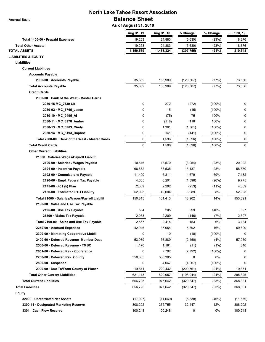**Accrual Basis**

# **North Lake Tahoe Resort Association Balance Sheet**

 **As of August 31, 2019**

|                                                 | Aug 31, 19  | Aug 31, 18 | \$ Change  | % Change  | Jun 30, 19 |
|-------------------------------------------------|-------------|------------|------------|-----------|------------|
| Total 1400-00 · Prepaid Expenses                | 19,253      | 24,883     | (5,630)    | (23%)     | 18,376     |
| <b>Total Other Assets</b>                       | 19,253      | 24,883     | (5,630)    | (23%)     | 18,376     |
| <b>TOTAL ASSETS</b>                             | 1,150,569   | 1,458,324  | (307, 755) | (21%)     | 810,343    |
| <b>LIABILITIES &amp; EQUITY</b>                 |             |            |            |           |            |
| <b>Liabilities</b>                              |             |            |            |           |            |
| <b>Current Liabilities</b>                      |             |            |            |           |            |
| <b>Accounts Payable</b>                         |             |            |            |           |            |
| 2000-00 · Accounts Payable                      | 35,682      | 155,989    | (120, 307) | (77%)     | 73,556     |
| <b>Total Accounts Payable</b>                   | 35,682      | 155,989    | (120, 307) | (77%)     | 73,556     |
| <b>Credit Cards</b>                             |             |            |            |           |            |
| 2080-00 · Bank of the West - Master Cards       |             |            |            |           |            |
| 2080-15 MC_2339 Liz                             | $\mathsf 0$ | 272        | (272)      | $(100\%)$ | 0          |
| 2080-02 · MC_6765_Jason                         | 0           | 15         | (15)       | $(100\%)$ | 0          |
| 2080-10 · MC_9495_AI                            | 0           | (75)       | 75         | 100%      | O          |
| 2080-11 · MC_3978_Amber                         | 0           | (118)      | 118        | 100%      | 0          |
| 2080-13 · MC_6903_Cindy                         | 0           | 1,361      | (1, 361)   | $(100\%)$ | 0          |
| 2080-14 · MC_6193_Daphne                        | 0           | 141        | (141)      | $(100\%)$ | 0          |
| Total 2080-00 · Bank of the West - Master Cards | 0           | 1,596      | (1,596)    | $(100\%)$ | 0          |
| <b>Total Credit Cards</b>                       | $\mathbf 0$ | 1,596      | (1,596)    | $(100\%)$ | 0          |
| <b>Other Current Liabilities</b>                |             |            |            |           |            |
| 21000 · Salaries/Wages/Payroll Liabilit         |             |            |            |           |            |
| 2100-00 · Salaries / Wages Payable              | 10,516      | 13,570     | (3,054)    | (23%)     | 20,922     |
| 2101-00 · Incentive Payable                     | 68,672      | 53,535     | 15,137     | 28%       | 58,630     |
| 2102-00 · Commissions Payable                   | 11,490      | 6,811      | 4,679      | 69%       | 7,132      |
| 2120-00 · Empl. Federal Tax Payable             | 4,605       | 6,201      | (1,596)    | (26%)     | 9,775      |
| 2175-00 · 401 (k) Plan                          | 2,039       | 2,292      | (253)      | $(11\%)$  | 4,369      |
| 2180-00 · Estimated PTO Liability               | 52,993      | 49,004     | 3,989      | 8%        | 52,993     |
| Total 21000 · Salaries/Wages/Payroll Liabilit   | 150,315     | 131,413    | 18,902     | 14%       | 153,821    |
| 2190-00 · Sales and Use Tax Payable             |             |            |            |           |            |
| 2195-00 · Use Tax Payable                       | 504         | 205        | 299        | 146%      | 827        |
| 25500 · * Sales Tax Payable                     | 2,063       | 2,209      | (146)      | (7%)      | 2,307      |
| Total 2190-00 · Sales and Use Tax Payable       | 2,567       | 2,414      | 153        | $6\%$     | 3,134      |
| 2250-00 · Accrued Expenses                      | 42,946      | 37,054     | 5,892      | 16%       | 59,690     |
| 2300-00 · Marketing Cooperative Liabili         | 0           | 10         | (10)       | $(100\%)$ | 0          |
| 2400-60 · Deferred Revenue- Member Dues         | 53,939      | 56,389     | (2, 450)   | (4%)      | 57,969     |
| 2500-00 · Deferred Revenue - TMBC               | 1,170       | 1,181      | (11)       | (1%)      | 840        |
| 2651-00 · Deferred Rev - Conference             | 0           | 7,792      | (7, 792)   | $(100\%)$ | 0          |
| 2700-00 · Deferred Rev. County                  | 350,305     | 350,305    | 0          | 0%        | 0          |
| $2800-00 \cdot$ Suspense                        | 0           | 4,067      | (4,067)    | $(100\%)$ | 0          |
| 2900-00 · Due To/From County of Placer          | 19,871      | 229,432    | (209, 561) | (91%)     | 19,871     |
| <b>Total Other Current Liabilities</b>          | 621,113     | 820,057    | (198, 944) | (24%)     | 295,325    |
| <b>Total Current Liabilities</b>                | 656,795     | 977,642    | (320, 847) | (33%)     | 368,881    |
| <b>Total Liabilities</b>                        | 656,795     | 977,642    |            | (33%)     | 368,881    |
| Equity                                          |             |            | (320, 847) |           |            |
| 32000 · Unrestricted Net Assets                 | (17,007)    | (11,669)   | (5,338)    | (46%)     | (11,669)   |
| 3300-11 · Designated Marketing Reserve          | 308,202     | 275,755    | 32,447     | 12%       | 308,202    |
| 3301 · Cash Flow Reserve                        | 100,248     | 100,248    | 0          | 0%        | 100,248    |
|                                                 |             |            |            |           |            |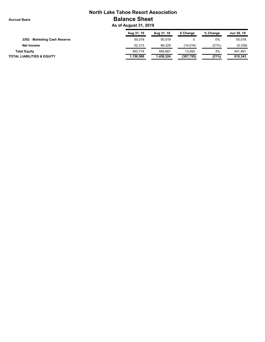**Accrual Basis**

# **North Lake Tahoe Resort Association Balance Sheet**

 **As of August 31, 2019**

|                                       | Aug 31, 19 | Aug 31, 18 | \$ Change  | % Change | Jun 30, 19 |
|---------------------------------------|------------|------------|------------|----------|------------|
| 3302 · Marketing Cash Reserve         | 50.018     | 50,018     |            | 0%       | 50,018     |
| Net Income                            | 52.313     | 66,329     | (14.016)   | (21%)    | (5,338)    |
| <b>Total Equity</b>                   | 493.774    | 480.681    | 13.093     | 3%       | 441.461    |
| <b>TOTAL LIABILITIES &amp; EQUITY</b> | 1,150,569  | .458.324   | (307, 755) | (21%)    | 810.343    |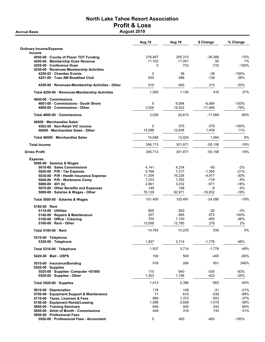### North Lake Tahoe Resort Association Profit & Loss Accrual Basis **August 2019**

|                                                                         | Aug 19         | Aug 18          | \$ Change            | % Change       |
|-------------------------------------------------------------------------|----------------|-----------------|----------------------|----------------|
| <b>Ordinary Income/Expense</b>                                          |                |                 |                      |                |
| <b>Income</b><br>4050-00 County of Placer TOT Funding                   | 216,947        | 255,313         | $-38,366$            | $-15%$         |
| 4200-00 Membership Dues Revenue                                         | 11,102         | 11,051          | 50                   | 1%             |
| 4205-00 Conference Dues                                                 | 0              | 733             | $-733$               | -100%          |
| 4250-00 · Revenues-Membership Activities<br>4250-02 Chamber Events      | 0              | 38              | $-38$                | $-100%$        |
| 4251-00 Tues AM Breakfast Club                                          | 635            | 496             | 139                  | 28%            |
| 4250-00 · Revenues-Membership Activities - Other                        | 915            | 600             | 315                  | 53%            |
| Total 4250-00 · Revenues-Membership Activities                          | 1,550          | 1,134           | 416                  | 37%            |
| 4600-00 Commissions                                                     |                |                 |                      |                |
| 4601-00 Commissions - South Shore                                       | 0              | 6,094           | $-6,094$             | $-100%$        |
| 4600-00 · Commissions - Other                                           | 3,026          | 14,522          | $-11,495$            | -79%           |
| Total 4600-00 Commissions                                               | 3,026          | 20,615          | $-17,589$            | $-85%$         |
| 46000 Merchandise Sales                                                 |                |                 |                      |                |
| 4502-00 Non-Retail VIC income<br>46000 Merchandise Sales - Other        | 0<br>14,088    | 375<br>12,649   | $-375$<br>1,439      | $-100%$<br>11% |
|                                                                         |                |                 |                      |                |
| Total 46000 Merchandise Sales                                           | 14,088         | 13,024          | 1,064                | 8%             |
| <b>Total Income</b>                                                     | 246,713        | 301.871         | $-55,158$            | $-18%$         |
| <b>Gross Profit</b>                                                     | 246,713        | 301,871         | $-55,158$            | $-18%$         |
| <b>Expense</b>                                                          |                |                 |                      |                |
| 5000-00 · Salaries & Wages                                              |                |                 |                      |                |
| 5010-00 Sales Commissions                                               | 4,141<br>5,768 | 4,234           | -93                  | $-2%$          |
| 5020-00 · P/R - Tax Expense<br>5030-00 · P/R - Health Insurance Expense | 11,309         | 7,317<br>16,226 | $-1,550$<br>$-4,917$ | -21%<br>-30%   |
| 5040-00 · P/R - Workmans Comp                                           | 1,233          | 1,352           | $-118$               | -9%            |
| 5060-00 $\cdot$ 401 (k)                                                 | 2,661          | 3,232           | $-571$               | -18%           |
| 5070-00 Other Benefits and Expenses                                     | 149            | 158             | -9                   | $-5%$          |
| 5000-00 · Salaries & Wages - Other                                      | 76,139         | 92,971          | $-16,832$            | $-18%$         |
| Total 5000-00 · Salaries & Wages                                        | 101,400        | 125,491         | $-24,090$            | $-19%$         |
| 5100-00 Rent                                                            |                |                 |                      |                |
| 5110-00 Utilities                                                       | 800            | 820             | $-20$                | $-3%$          |
| 5140-00 · Repairs & Maintenance                                         | 207            | -465            | 672                  | 144%           |
| 5150-00 · Office - Cleaning                                             | 700            | 1,100           | -400                 | -36%           |
| 5100-00 Rent - Other                                                    | 13,058         | 12,780          | 278                  | 2%             |
| Total 5100-00 · Rent                                                    | 14,765         | 14,235          | 530                  | 4%             |
| $5310-00 \cdot$ Telephone<br>$5320-00$ Telephone                        | 1,937          | 3,714           | $-1,776$             | -48%           |
|                                                                         |                |                 |                      |                |
| Total 5310-00 · Telephone                                               | 1,937          | 3,714           | $-1,776$             | $-48%$         |
| 5420-00 Mail - USPS                                                     | 100            | 500             | $-400$               | $-80%$         |
| 5510-00 · Insurance/Bonding<br>$5520-00$ · Supplies                     | 916            | 264             | 651                  | 246%           |
| 5525-00 · Supplies- Computer <\$1000                                    | 110            | 640             | -530                 | -83%           |
| 5520-00 Supplies - Other                                                | 1,303          | 1,726           | $-423$               | $-25%$         |
| Total 5520-00 · Supplies                                                | 1,413          | 2,366           | -953                 | $-40%$         |
| 5610-00 Depreciation                                                    | 118            | 149             | -31                  | $-21%$         |
| 5700-00 · Equipment Support & Maintenance                               | 71             | 610             | $-539$               | $-88%$         |
| 5710-00 · Taxes, Licenses & Fees                                        | 869            | 1,372           | $-503$               | $-37%$         |
| 5740-00 · Equipment Rental/Leasing                                      | 1,089          | 2,608           | $-1,519$             | $-58%$         |
| 5800-00 · Training Seminars                                             | 649            | 405             | 244                  | 60%            |
| 5850-00 Artist of Month - Commissions<br>5900-00 Professional Fees      | 449            | 319             | 130                  | 41%            |
| 5920-00 · Professional Fees - Accountant                                | 0              | 400             | $-400$               | $-100%$        |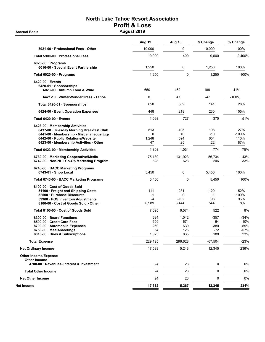## North Lake Tahoe Resort Association Profit & Loss Accrual Basis **August 2019**

|                                                                                                                                                                                                      | Aug 19                           | Aug 18                            | \$ Change                               | % Change                                    |
|------------------------------------------------------------------------------------------------------------------------------------------------------------------------------------------------------|----------------------------------|-----------------------------------|-----------------------------------------|---------------------------------------------|
| 5921-00 Professional Fees - Other                                                                                                                                                                    | 10,000                           | 0                                 | 10,000                                  | 100%                                        |
| Total 5900-00 · Professional Fees                                                                                                                                                                    | 10,000                           | 400                               | 9,600                                   | 2,400%                                      |
| $6020-00 \cdot$ Programs<br>6016-00 · Special Event Partnership                                                                                                                                      | 1,250                            | 0                                 | 1,250                                   | 100%                                        |
| Total 6020-00 · Programs                                                                                                                                                                             | 1,250                            | $\mathbf 0$                       | 1,250                                   | 100%                                        |
| 6420-00 Events<br>6420-01 Sponsorships<br>6023-00 · Autumn Food & Wine                                                                                                                               | 650                              | 462                               | 188                                     | 41%                                         |
| 6421-10 WinterWonderGrass - Tahoe                                                                                                                                                                    | 0                                | 47                                | -47                                     | $-100%$                                     |
| Total 6420-01 · Sponsorships                                                                                                                                                                         | 650                              | 509                               | 141                                     | 28%                                         |
| 6424-00 Event Operation Expenses                                                                                                                                                                     | 448                              | 218                               | 230                                     | 105%                                        |
| Total 6420-00 Events                                                                                                                                                                                 | 1,098                            | 727                               | 370                                     | 51%                                         |
| 6423-00 · Membership Activities<br>6437-00 Tuesday Morning Breakfast Club<br>6441-00 · Membership - Miscellaneous Exp<br>6442-00 Public Relations/Website<br>6423-00 · Membership Activities - Other | 513<br>$\Omega$<br>1,248<br>47   | 405<br>10<br>594<br>25            | 108<br>$-10$<br>654<br>22               | 27%<br>$-100%$<br>110%<br>87%               |
| Total 6423-00 · Membership Activities                                                                                                                                                                | 1,808                            | 1,034                             | 774                                     | 75%                                         |
| 6730-00 · Marketing Cooperative/Media<br>6742-00 · Non-NLT Co-Op Marketing Program                                                                                                                   | 75,189<br>828                    | 131,923<br>623                    | $-56,734$<br>206                        | -43%<br>33%                                 |
| 6743-00 · BACC Marketing Programs<br>6743-01 · Shop Local                                                                                                                                            | 5,450                            | 0                                 | 5,450                                   | 100%                                        |
| Total 6743-00 · BACC Marketing Programs                                                                                                                                                              | 5,450                            | $\mathbf 0$                       | 5,450                                   | 100%                                        |
| 8100-00 Cost of Goods Sold<br>51100 · Freight and Shipping Costs<br>52500 · Purchase Discounts<br>59900 · POS Inventory Adjustments<br>8100-00 · Cost of Goods Sold - Other                          | 111<br>$-1$<br>$-4$<br>6,989     | 231<br>0<br>$-102$<br>6,444       | $-120$<br>$-1$<br>98<br>544             | -52%<br>$-100%$<br>96%<br>8%                |
| Total 8100-00 Cost of Goods Sold                                                                                                                                                                     | 7,095                            | 6,574                             | 522                                     | 8%                                          |
| 8300-00 Board Functions<br>8500-00 Credit Card Fees<br>8700-00 · Automobile Expenses<br>8750-00 · Meals/Meetings<br>8810-00 Dues & Subscriptions                                                     | 684<br>609<br>259<br>54<br>1,023 | 1,042<br>674<br>639<br>126<br>835 | -357<br>$-64$<br>$-380$<br>$-72$<br>188 | $-34%$<br>$-10%$<br>$-59%$<br>$-57%$<br>23% |
| <b>Total Expense</b>                                                                                                                                                                                 | 229,125                          | 296,628                           | $-67,504$                               | $-23%$                                      |
| <b>Net Ordinary Income</b>                                                                                                                                                                           | 17,589                           | 5,243                             | 12,345                                  | 236%                                        |
| <b>Other Income/Expense</b><br><b>Other Income</b>                                                                                                                                                   |                                  |                                   |                                         |                                             |
| 4700-00 · Revenues- Interest & Investment                                                                                                                                                            | 24                               | 23                                | 0                                       | 0%                                          |
| <b>Total Other Income</b>                                                                                                                                                                            | 24                               | 23                                | 0                                       | 0%                                          |
| <b>Net Other Income</b>                                                                                                                                                                              | 24                               | 23                                | 0                                       | 0%                                          |
| Net Income                                                                                                                                                                                           | 17,612                           | 5,267                             | 12,345                                  | 234%                                        |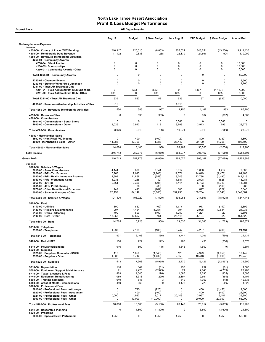| <b>All Departments</b><br><b>Accrual Basis</b>                                                                                                                                                                                                                                                                                                                                     |                                                                         |                                                                     |                                                                          |                                                                    |                                                                         |                                                                                   |                                                                                     |  |  |  |
|------------------------------------------------------------------------------------------------------------------------------------------------------------------------------------------------------------------------------------------------------------------------------------------------------------------------------------------------------------------------------------|-------------------------------------------------------------------------|---------------------------------------------------------------------|--------------------------------------------------------------------------|--------------------------------------------------------------------|-------------------------------------------------------------------------|-----------------------------------------------------------------------------------|-------------------------------------------------------------------------------------|--|--|--|
|                                                                                                                                                                                                                                                                                                                                                                                    | Aug 19                                                                  | <b>Budget</b>                                                       | \$ Over Budget                                                           | Jul - Aug 19                                                       | <b>YTD Budget</b>                                                       | \$ Over Budget                                                                    | Annual Bud                                                                          |  |  |  |
| <b>Ordinary Income/Expense</b>                                                                                                                                                                                                                                                                                                                                                     |                                                                         |                                                                     |                                                                          |                                                                    |                                                                         |                                                                                   |                                                                                     |  |  |  |
| Income<br>4050-00 County of Placer TOT Funding<br>4200-00 · Membership Dues Revenue<br>4250-00 · Revenues-Membership Activities<br>4250-01 · Community Awards                                                                                                                                                                                                                      | 216,947<br>11,102                                                       | 225,010<br>10,833                                                   | (8,063)<br>268                                                           | 805,024<br>22,170                                                  | 848,254<br>21,667                                                       | (43, 230)<br>504                                                                  | 3,914,430<br>130,000                                                                |  |  |  |
| 4250-04 · Silent Auction<br>4250-05 · Sponsorships<br>4250-01 Community Awards - Other                                                                                                                                                                                                                                                                                             | 0<br>0<br>0                                                             | 0<br>$\mathbf 0$<br>$\mathbf 0$                                     | 0<br>0<br>0                                                              | 0<br>0<br>0                                                        | $\pmb{0}$<br>0<br>0                                                     | 0<br>$\mathbf 0$<br>$\mathbf 0$                                                   | 17,000<br>17,000<br>16,000                                                          |  |  |  |
| Total 4250-01 · Community Awards                                                                                                                                                                                                                                                                                                                                                   | $\mathbf 0$                                                             | $\Omega$                                                            | $\mathbf 0$                                                              | 0                                                                  | $\mathbf 0$                                                             | 0                                                                                 | 50,000                                                                              |  |  |  |
| 4250-02 · Chamber Events<br>4250-03 · Summer/Winter Rec Luncheon<br>4251-00 · Tues AM Breakfast Club                                                                                                                                                                                                                                                                               | 0<br>$\mathbf 0$                                                        | $\mathbf 0$<br>$\Omega$                                             | 0<br>$\mathbf 0$                                                         | 0<br>0                                                             | 0<br>$\mathbf 0$                                                        | 0<br>0                                                                            | 2,500<br>2,700                                                                      |  |  |  |
| 4251-01 · Tues AM Breakfast Club Sponsors<br>4251-00 · Tues AM Breakfast Club - Other                                                                                                                                                                                                                                                                                              | 0<br>635                                                                | 583<br>$\mathbf 0$                                                  | (583)<br>635                                                             | 0<br>635                                                           | 1,167<br>$\pmb{0}$                                                      | (1, 167)<br>635                                                                   | 7,000<br>3,000                                                                      |  |  |  |
| Total 4251-00 · Tues AM Breakfast Club                                                                                                                                                                                                                                                                                                                                             | 635                                                                     | 583                                                                 | 52                                                                       | 635                                                                | 1,167                                                                   | (532)                                                                             | 10,000                                                                              |  |  |  |
| 4250-00 · Revenues-Membership Activities - Other                                                                                                                                                                                                                                                                                                                                   | 915                                                                     |                                                                     |                                                                          | 1,515                                                              |                                                                         |                                                                                   |                                                                                     |  |  |  |
| Total 4250-00 · Revenues-Membership Activities                                                                                                                                                                                                                                                                                                                                     | 1,550                                                                   | 583                                                                 | 967                                                                      | 2,150                                                              | 1,167                                                                   | 983                                                                               | 65,200                                                                              |  |  |  |
| 4253-00 · Revenue-Other<br>4600-00 Commissions<br>4601-00 Commissions - South Shore                                                                                                                                                                                                                                                                                                | $\mathbf 0$<br>$\Omega$                                                 | 333<br>$\Omega$                                                     | (333)<br>$\mathbf 0$                                                     | $\mathbf 0$<br>6,563                                               | 667<br>0                                                                | (667)<br>6,563                                                                    | 4,000<br>$\mathbf 0$                                                                |  |  |  |
| 4600-00 Commissions - Other                                                                                                                                                                                                                                                                                                                                                        | 3,026                                                                   | 2,913                                                               | 113                                                                      | 3,708                                                              | 2,913                                                                   | 795                                                                               | 28,276                                                                              |  |  |  |
| Total 4600-00 · Commissions                                                                                                                                                                                                                                                                                                                                                        | 3,026                                                                   | 2,913                                                               | 113                                                                      | 10,271                                                             | 2,913                                                                   | 7,358                                                                             | 28,276                                                                              |  |  |  |
| 46000 · Merchandise Sales<br>4502-00 · Non-Retail VIC income<br>46000 · Merchandise Sales - Other                                                                                                                                                                                                                                                                                  | $\Omega$<br>14,088                                                      | 400<br>12,700                                                       | (400)<br>1,388                                                           | 20<br>28,442                                                       | 800<br>29,700                                                           | (780)<br>(1,258)                                                                  | 4,800<br>108,100                                                                    |  |  |  |
| Total 46000 · Merchandise Sales                                                                                                                                                                                                                                                                                                                                                    | 14,088                                                                  | 13,100                                                              | 988                                                                      | 28,462                                                             | 30,500                                                                  | (2,038)                                                                           | 112,900                                                                             |  |  |  |
| <b>Total Income</b>                                                                                                                                                                                                                                                                                                                                                                | 246,713                                                                 | 252,773                                                             | (6,060)                                                                  | 868,077                                                            | 905,167                                                                 | (37,089)                                                                          | 4,254,806                                                                           |  |  |  |
| <b>Gross Profit</b>                                                                                                                                                                                                                                                                                                                                                                | 246,713                                                                 | 252,773                                                             | (6,060)                                                                  | 868,077                                                            | 905,167                                                                 | (37,089)                                                                          | 4,254,806                                                                           |  |  |  |
| <b>Expense</b><br>5000-00 · Salaries & Wages<br>5010-00 · Sales Commissions<br>5020-00 $\cdot$ P/R - Tax Expense<br>5030-00 · P/R - Health Insurance Expense<br>5040-00 · P/R - Workmans Comp<br>5060-00 $\cdot$ 401 (k)<br>5061-00 · 401k Profit Sharing<br>5070-00 · Other Benefits and Expenses<br>5000-00 · Salaries & Wages - Other                                           | 4,141<br>5,768<br>11,309<br>1,233<br>2,661<br>$\Omega$<br>149<br>76,139 | 800<br>7,015<br>11,868<br>1,235<br>3,366<br>80<br>413<br>84,142     | 3,341<br>(1, 248)<br>(559)<br>(2)<br>(705)<br>(80)<br>(264)<br>(8,003)   | 6,017<br>11,571<br>19,246<br>1,681<br>5,414<br>0<br>305<br>154,736 | 1,600<br>14,049<br>23,736<br>2,508<br>6,733<br>160<br>827<br>168,284    | 4,417<br>(2, 478)<br>(4, 490)<br>(828)<br>(1, 319)<br>(160)<br>(522)<br>(13, 548) | 9,600<br>84,163<br>142,416<br>13,981<br>41,981<br>960<br>5,040<br>1,049,304         |  |  |  |
| Total 5000-00 · Salaries & Wages                                                                                                                                                                                                                                                                                                                                                   | 101,400                                                                 | 108,920                                                             | (7, 520)                                                                 | 198,968                                                            | 217,897                                                                 | (18,928)                                                                          | 1,347,445                                                                           |  |  |  |
| $5100-00 \cdot$ Rent<br>$5110-00 \cdot$ Utilities<br>5140-00 · Repairs & Maintenance<br>5150-00 · Office - Cleaning<br>$5100-00 \cdot$ Rent - Other                                                                                                                                                                                                                                | 800<br>207<br>700<br>13,058                                             | 862<br>1,464<br>800<br>12,597                                       | (62)<br>(1,257)<br>(100)<br>461                                          | 1,777<br>394<br>1,250<br>26,116                                    | 1,917<br>2,928<br>1,221<br>25,194                                       | (140)<br>(2,534)<br>29<br>922                                                     | 12,899<br>21,938<br>9,505<br>151,529                                                |  |  |  |
| Total 5100-00 · Rent                                                                                                                                                                                                                                                                                                                                                               | 14,765                                                                  | 15,723                                                              | (958)                                                                    | 29,537                                                             | 31,260                                                                  | (1, 723)                                                                          | 195,871                                                                             |  |  |  |
| 5310-00 · Telephone<br>5320-00 · Telephone                                                                                                                                                                                                                                                                                                                                         | 1,937                                                                   | 2,103                                                               | (166)                                                                    | 3,747                                                              | 4,207                                                                   | (460)                                                                             | 24,134                                                                              |  |  |  |
| Total 5310-00 · Telephone                                                                                                                                                                                                                                                                                                                                                          | 1,937                                                                   | 2,103                                                               | (166)                                                                    | 3,747                                                              | 4,207                                                                   | (460)                                                                             | 24,134                                                                              |  |  |  |
| 5420-00 Mail - USPS                                                                                                                                                                                                                                                                                                                                                                | 100                                                                     | 222                                                                 | (122)                                                                    | 200                                                                | 436                                                                     | (236)                                                                             | 2,578                                                                               |  |  |  |
| 5510-00 · Insurance/Bonding<br>$5520-00 \cdot$ Supplies<br>5525-00 · Supplies- Computer <\$1000                                                                                                                                                                                                                                                                                    | 916<br>110                                                              | 800<br>1,656                                                        | 116<br>(1, 546)                                                          | 1,646<br>120                                                       | 1,600<br>4,979                                                          | 46<br>(4, 859)                                                                    | 9,604<br>10,442                                                                     |  |  |  |
| 5520-00 · Supplies - Other                                                                                                                                                                                                                                                                                                                                                         | 1,303                                                                   | 5,712                                                               | (4, 409)                                                                 | 2,350                                                              | 10,448                                                                  | (8,098)                                                                           | 29,248                                                                              |  |  |  |
| Total 5520-00 · Supplies                                                                                                                                                                                                                                                                                                                                                           | 1,413                                                                   | 7,368                                                               | (5,955)                                                                  | 2,470                                                              | 15,427                                                                  | (12, 957)                                                                         | 39,690                                                                              |  |  |  |
| 5610-00 Depreciation<br>5700-00 · Equipment Support & Maintenance<br>5710-00 · Taxes, Licenses & Fees<br>5740-00 · Equipment Rental/Leasing<br>5800-00 · Training Seminars<br>5850-00 · Artist of Month - Commissions<br>5900-00 · Professional Fees<br>5910-00 · Professional Fees - Attorneys<br>5920-00 · Professional Fees - Accountant<br>5921-00 · Professional Fees - Other | 118<br>71<br>869<br>1,089<br>649<br>449<br>0<br>0<br>10,000             | 149<br>2,420<br>1,045<br>1,318<br>646<br>360<br>725<br>400<br>1,983 | (31)<br>(2, 349)<br>(176)<br>(229)<br>3<br>89<br>(725)<br>(400)<br>8,017 | 236<br>71<br>1,685<br>2,197<br>649<br>1,175<br>0<br>0<br>20,148    | 297<br>4,840<br>2,090<br>2,561<br>1,067<br>720<br>1,450<br>400<br>3,967 | (61)<br>(4,769)<br>(405)<br>(364)<br>(418)<br>455<br>(1,450)<br>(400)<br>16,181   | 1,560<br>29,280<br>12,695<br>15,104<br>12,835<br>4,320<br>9,000<br>24,900<br>26,800 |  |  |  |
| 5900-00 · Professional Fees - Other                                                                                                                                                                                                                                                                                                                                                | 0                                                                       | 10,000                                                              | (10,000)                                                                 | 0                                                                  | 20,000                                                                  | (20,000)                                                                          | 55,000                                                                              |  |  |  |
| Total 5900-00 · Professional Fees<br>5941-00 · Research & Planning                                                                                                                                                                                                                                                                                                                 | 10,000<br>0                                                             | 13,108<br>1,800                                                     | (3, 108)<br>(1,800)                                                      | 20,148<br>$\pmb{0}$                                                | 25,817<br>3,600                                                         | (5,669)<br>(3,600)                                                                | 115,700<br>21,600                                                                   |  |  |  |
| $6020-00 \cdot$ Programs<br>6016-00 · Special Event Partnership                                                                                                                                                                                                                                                                                                                    | 1,250                                                                   | $\mathsf{O}$                                                        | 1,250                                                                    | 1,250                                                              | 0                                                                       | 1,250                                                                             | 50,000                                                                              |  |  |  |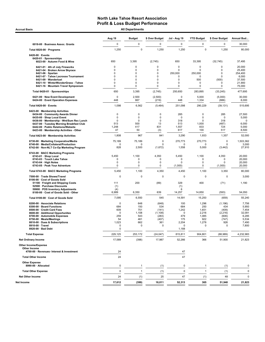Accrual Basis **Accrual Basis All Departments** 

|                                                                                                                                                                                                                                     | Aug 19                                                           | <b>Budget</b>                                               | \$ Over Budget                                                | <b>Jul - Aug 19</b>                                           | <b>YTD Budget</b>                                          | \$ Over Budget                                                   | Annual Bud                                                   |
|-------------------------------------------------------------------------------------------------------------------------------------------------------------------------------------------------------------------------------------|------------------------------------------------------------------|-------------------------------------------------------------|---------------------------------------------------------------|---------------------------------------------------------------|------------------------------------------------------------|------------------------------------------------------------------|--------------------------------------------------------------|
| 6018-00 · Business Assoc. Grants                                                                                                                                                                                                    | 0                                                                | 0                                                           | 0                                                             | 0                                                             | 0                                                          | 0                                                                | 30,000                                                       |
| Total 6020-00 · Programs                                                                                                                                                                                                            | 1,250                                                            | $\mathbf 0$                                                 | 1,250                                                         | 1,250                                                         | $\mathbf 0$                                                | 1,250                                                            | 80,000                                                       |
| 6420-00 · Events<br>6420-01 · Sponsorships<br>6023-00 · Autumn Food & Wine                                                                                                                                                          | 650                                                              | 3,395                                                       | (2,745)                                                       | 650                                                           | 33,395                                                     | (32, 745)                                                        | 37,495                                                       |
| 6421-01 · 4th of July Fireworks<br>6421-04 · Broken Arrow Skyrace<br>$6421-06 \cdot$ Spartan                                                                                                                                        | 0<br>$\mathbf 0$<br>$\Omega$                                     | $\mathbf 0$<br>0<br>$\mathbf 0$                             | 0<br>0<br>0                                                   | $\Omega$<br>$\Omega$<br>250,000                               | 0<br>0<br>250,000                                          | 0<br>$\mathbf 0$<br>$\Omega$                                     | 20,000<br>25,400<br>254,400                                  |
| 6421-07 · Tahoe Lacrosse Tournament<br>6421-09 · Wanderlust<br>6421-10 · WinterWonderGrass - Tahoe<br>6421-16 · Mountain Travel Symposium                                                                                           | 0<br>$\Omega$<br>0<br>$\mathbf 0$                                | $\mathbf 0$<br>$\mathbf 0$<br>$\mathbf 0$<br>0              | 0<br>0<br>0<br>0                                              | 0<br>0<br>0<br>0                                              | 0<br>500<br>0<br>0                                         | 0<br>(500)<br>0<br>0                                             | 6,000<br>37,500<br>21,900<br>75,000                          |
| Total 6420-01 · Sponsorships                                                                                                                                                                                                        | 650                                                              | 3,395                                                       | (2,745)                                                       | 250,650                                                       | 283,895                                                    | (33, 245)                                                        | 477,695                                                      |
| 6421-00 · New Event Development<br>6424-00 · Event Operation Expenses                                                                                                                                                               | $\mathbf 0$<br>448                                               | 2,500<br>667                                                | (2,500)<br>(219)                                              | 0<br>448                                                      | 5,000<br>1,334                                             | (5,000)<br>(886)                                                 | 30,000<br>8,000                                              |
| Total 6420-00 · Events                                                                                                                                                                                                              | 1,098                                                            | 6,562                                                       | (5,464)                                                       | 251,098                                                       | 290,229                                                    | (39, 131)                                                        | 515,695                                                      |
| 6423-00 · Membership Activities<br>6434-00 Community Awards Dinner<br>6435-00 · Shop Local Event<br>6436-00 · Membership - Wnt/Sum Rec Lunch<br>6437-00 · Tuesday Morning Breakfast Club<br>6442-00 · Public Relations/Website      | 0<br>$\mathbf 0$<br>0<br>513<br>1,248                            | $\mathbf 0$<br>$\mathbf 0$<br>$\mathbf 0$<br>500<br>417     | 0<br>$\mathbf 0$<br>0<br>13<br>831                            | 285<br>0<br>318<br>513<br>1,557<br>617                        | 0<br>$\Omega$<br>0<br>1,000<br>833<br>100                  | 285<br>0<br>318<br>(487)<br>724<br>517                           | 27,500<br>5,000<br>$\pmb{0}$<br>6,000<br>5,000               |
| 6423-00 · Membership Activities - Other<br>Total 6423-00 · Membership Activities                                                                                                                                                    | 47<br>1,808                                                      | 50<br>967                                                   | (3)<br>841                                                    | 3,290                                                         | 1,933                                                      | 1,357                                                            | 8,500<br>52,000                                              |
| 6730-00 · Marketing Cooperative/Media<br>6740-00 · Media/Collateral/Production                                                                                                                                                      | 75,189<br>$\mathbf 0$                                            | 75,189<br>$\mathbf 0$                                       | 0<br>0                                                        | 270,773<br>0                                                  | 270,773<br>$\mathbf 0$                                     | 0<br>$\mathbf 0$                                                 | 1,503,362<br>3,000                                           |
| 6742-00 · Non-NLT Co-Op Marketing Program<br>6743-00 · BACC Marketing Programs<br>6743-01 · Shop Local<br>6743-03 · Touch Lake Tahoe<br>$6743-04 \cdot$ High Notes<br>6743-05 · Peak Your Adventure                                 | 828<br>5,450<br>0<br>0<br>0                                      | 2,500<br>1,100<br>$\mathbf 0$<br>$\mathbf 0$<br>$\mathbf 0$ | (1,672)<br>4,350<br>0<br>$\mathbf 0$<br>0                     | 1,558<br>5,450<br>0<br>0<br>(1,000)                           | 5,000<br>1,100<br>0<br>0<br>0                              | (3, 442)<br>4,350<br>0<br>0<br>(1,000)                           | 27,910<br>20,000<br>20,000<br>20,000<br>20,000               |
| Total 6743-00 · BACC Marketing Programs                                                                                                                                                                                             | 5,450                                                            | 1,100                                                       | 4,350                                                         | 4,450                                                         | 1,100                                                      | 3,350                                                            | 80,000                                                       |
| 7500-00 · Trade Shows/Travel                                                                                                                                                                                                        | $\mathbf 0$                                                      | $\mathbf 0$                                                 | $\mathbf 0$                                                   | $\mathbf 0$                                                   | $\mathbf 0$                                                | $\mathbf 0$                                                      | 3,000                                                        |
| 8100-00 Cost of Goods Sold<br>51100 · Freight and Shipping Costs<br>52500 · Purchase Discounts<br>59900 · POS Inventory Adjustments                                                                                                 | 111<br>(1)<br>(4)                                                | 200                                                         | (89)                                                          | 329<br>(1)<br>6                                               | 400                                                        | (71)                                                             | 1,190                                                        |
| 8100-00 · Cost of Goods Sold - Other                                                                                                                                                                                                | 6,989                                                            | 6,350                                                       | 639                                                           | 14,257                                                        | 14,850                                                     | (593)                                                            | 54,050                                                       |
| Total 8100-00 · Cost of Goods Sold<br>8200-00 · Associate Relations                                                                                                                                                                 | 7,095<br>$\mathbf 0$                                             | 6,550<br>648                                                | 545<br>(648)                                                  | 14,591<br>100                                                 | 15,250<br>1,296                                            | (659)<br>(1, 196)                                                | 55,240<br>7,756                                              |
| 8300-00 · Board Functions<br>8500-00 Credit Card Fees<br>8600-00 · Additional Opportunites<br>8700-00 · Automobile Expenses<br>8750-00 · Meals/Meetings<br>8810-00 · Dues & Subscriptions<br>8910-00 · Travel<br>8920-00 · Bad Debt | 684<br>609<br>$\mathbf 0$<br>259<br>54<br>1,023<br>$\Omega$<br>0 | 150<br>751<br>1,108<br>543<br>461<br>662<br>$\Omega$        | 534<br>(141)<br>(1, 108)<br>(283)<br>(407)<br>361<br>$\Omega$ | 684<br>1,242<br>0<br>479<br>175<br>2,204<br>$\Omega$<br>1,188 | 250<br>1,651<br>2,216<br>1,085<br>922<br>1,278<br>$\Omega$ | 434<br>(409)<br>(2, 216)<br>(606)<br>(747)<br>926<br>$\mathbf 0$ | 5,950<br>7,454<br>32,091<br>6,285<br>5,534<br>7,490<br>7,800 |
| <b>Total Expense</b>                                                                                                                                                                                                                | 229,125                                                          | 253,172                                                     | (24, 047)                                                     | 815,811                                                       | 904,801                                                    | (88,989)                                                         | 4,232,983                                                    |
| <b>Net Ordinary Income</b>                                                                                                                                                                                                          | 17,589                                                           | (398)                                                       | 17,987                                                        | 52,266                                                        | 366                                                        | 51,900                                                           | 21,823                                                       |
| <b>Other Income/Expense</b><br>Other Income                                                                                                                                                                                         |                                                                  |                                                             |                                                               |                                                               |                                                            |                                                                  |                                                              |
| 4700-00 · Revenues- Interest & Investment                                                                                                                                                                                           | 24                                                               |                                                             |                                                               | 47                                                            |                                                            |                                                                  |                                                              |
| <b>Total Other Income</b><br><b>Other Expense</b><br>8990-00 · Allocated                                                                                                                                                            | 24<br>0                                                          | $\mathbf{1}$                                                |                                                               | 47<br>$\pmb{0}$                                               | $\overline{1}$                                             |                                                                  | 0                                                            |
| <b>Total Other Expense</b>                                                                                                                                                                                                          | 0                                                                | $\mathbf{1}$                                                | (1)<br>(1)                                                    | $\mathbf 0$                                                   | $\overline{1}$                                             | (1)<br>(1)                                                       | $\mathbf 0$                                                  |
| <b>Net Other Income</b>                                                                                                                                                                                                             | 24                                                               | (1)                                                         | 25                                                            | 47                                                            | (1)                                                        | 48                                                               | $\mathbf 0$                                                  |
| Net Income                                                                                                                                                                                                                          | 17,612                                                           | (399)                                                       | 18,011                                                        | 52,313                                                        | 365                                                        | 51,948                                                           | 21,823                                                       |
|                                                                                                                                                                                                                                     |                                                                  |                                                             |                                                               |                                                               |                                                            |                                                                  |                                                              |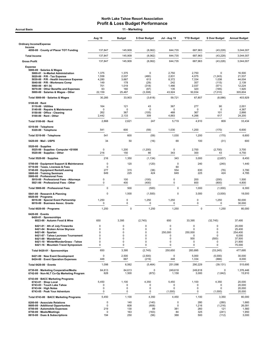| Accrual Basis                                                                                 |                      | 11 - Marketing   |                      |                            |                    |                      |                      |
|-----------------------------------------------------------------------------------------------|----------------------|------------------|----------------------|----------------------------|--------------------|----------------------|----------------------|
|                                                                                               | Aug 19               | <b>Budget</b>    | \$ Over Budget       | Jul - Aug 19               | <b>YTD Budget</b>  | \$ Over Budget       | <b>Annual Budget</b> |
| <b>Ordinary Income/Expense</b>                                                                |                      |                  |                      |                            |                    |                      |                      |
| Income<br>4050-00 County of Placer TOT Funding                                                | 137,847              | 145,909          | (8,062)              | 644,735                    | 687,963            | (43, 228)            | 3,044,007            |
| <b>Total Income</b>                                                                           | 137,847              | 145,909          | (8,062)              | 644,735                    | 687,963            | (43, 228)            | 3,044,007            |
| <b>Gross Profit</b>                                                                           | 137,847              | 145,909          | (8,062)              | 644,735                    | 687,963            | (43, 228)            | 3,044,007            |
| <b>Expense</b>                                                                                |                      |                  |                      |                            |                    |                      |                      |
| 5000-00 · Salaries & Wages<br>5000-01 · In-Market Administration                              | 1,375                | 1,375            | $\mathbf 0$          | 2,750                      | 2,750              | 0                    | 16,500               |
| $5020-00 \cdot P/R$ - Tax Expense                                                             | 1,558                | 2,037            | (480)                | 2,831<br>8,372             | 4,075              | (1, 243)             | 21,537               |
| 5030-00 · P/R - Health Insurance Expense<br>5040-00 · P/R - Workmans Comp                     | 4,280<br>149         | 3,667<br>178     | 613<br>(29)          | 242                        | 7,334<br>357       | 1,038<br>(115)       | 44,004<br>2,139      |
| 5060-00 $\cdot$ 401 (k)<br>5070-00 Other Benefits and Expenses                                | 701<br>63            | 1,019<br>160     | (318)<br>(97)        | 1,466<br>135               | 2,037<br>320       | (571)<br>(185)       | 12,224<br>1,920      |
| 5000-00 · Salaries & Wages - Other                                                            | 22,159               | 25,467           | (3,308)              | 43,924                     | 50,934             | (7,010)              | 305,604              |
| Total 5000-00 · Salaries & Wages                                                              | 30,285               | 33,903           | (3,618)              | 59,721                     | 67,807             | (8,086)              | 403,929              |
| $5100-00 \cdot$ Rent<br>$5110-00 \cdot$ Utilities                                             | 164                  | 121              | 43                   | 367                        | 277                | 90                   | 2,001                |
| 5140-00 · Repairs & Maintenance                                                               | 0                    | 0                | $\Omega$             | $\Omega$                   | $\Omega$           | $\mathbf 0$          | 4,367                |
| 5150-00 · Office - Cleaning<br>$5100-00 \cdot$ Rent - Other                                   | 262<br>2,442         | 367<br>2,133     | (105)<br>309         | 468<br>4,883               | 367<br>4,266       | 101<br>617           | 2,866<br>24,200      |
| Total 5100-00 · Rent                                                                          | 2,868                | 2,621            | 247                  | 5,719                      | 4,910              | 809                  | 33,434               |
| 5310-00 · Telephone                                                                           |                      |                  |                      |                            |                    |                      |                      |
| 5320-00 · Telephone                                                                           | 541                  | 600              | (59)                 | 1,030                      | 1,200              | (170)                | 6,600                |
| Total 5310-00 · Telephone                                                                     | 541                  | 600              | (59)                 | 1,030                      | 1,200              | (170)                | 6,600                |
| 5420-00 · Mail - USPS                                                                         | 34                   | 50               | (16)                 | 69                         | 100                | (31)                 | 600                  |
| $5520-00 \cdot$ Supplies<br>5525 00 · Supplies Computer <\$1000<br>5520-00 · Supplies - Other | 0<br>216             | 1,200<br>150     | (1,200)<br>66        | 0<br>343                   | 2,700<br>300       | (2,700)<br>43        | 3,700<br>4,750       |
| Total 5520-00 · Supplies                                                                      | 216                  | 1,350            | (1, 134)             | 343                        | 3,000              | (2,657)              | 8,450                |
| 5700-00 · Equipment Support & Maintenance                                                     | 0                    | 120              | (120)                | $\mathbf 0$                | 240                | (240)                | 1,440                |
| 5710-00 · Taxes, Licenses & Fees<br>5740-00 · Equipment Rental/Leasing                        | $\mathbf 0$<br>277   | 315              | (38)                 | 60<br>554                  | 630                | (76)                 | 3,780                |
| 5800-00 · Training Seminars<br>5900-00 · Professional Fees                                    | 649                  | 225              | 424                  | 649                        | 225                | 424                  | 4,785                |
| 5910-00 · Professional Fees - Attorneys<br>5921-00 · Professional Fees - Other                | 0<br>0               | 100<br>400       | (100)<br>(400)       | 0<br>0                     | 200<br>800         | (200)<br>(800)       | 1,500<br>4,800       |
| Total 5900-00 · Professional Fees                                                             | 0                    | 500              | (500)                | $\mathbf 0$                | 1,000              | (1,000)              | 6,300                |
| 5941-00 · Research & Planning<br>$6020-00 \cdot$ Programs                                     | $\mathbf 0$          | 1,500            | (1,500)              | 0                          | 3,000              | (3,000)              | 18,000               |
| 6016-00 · Special Event Partnership<br>6018-00 · Business Assoc. Grants                       | 1,250<br>0           | 0<br>0           | 1,250<br>$\mathsf 0$ | 1,250<br>0                 | 0<br>$\pmb{0}$     | 1,250<br>0           | 50,000<br>30,000     |
| Total 6020-00 · Programs                                                                      | 1,250                | $\pmb{0}$        | 1,250                | 1,250                      | 0                  | 1,250                | 80,000               |
| $6420-00 \cdot$ Events                                                                        |                      |                  |                      |                            |                    |                      |                      |
| 6420-01 · Sponsorships<br>6023-00 · Autumn Food & Wine                                        | 650                  | 3,395            | (2,745)              | 650                        | 33,395             | (32, 745)            | 37,495               |
| 6421-01 · 4th of July Fireworks<br>6421-04 · Broken Arrow Skyrace                             | $\Omega$<br>$\Omega$ | 0<br>$\mathbf 0$ | $\mathbf 0$<br>0     | $\mathbf 0$<br>0           | $\mathbf 0$<br>0   | 0<br>0               | 20,000<br>25,400     |
| $6421-06 \cdot$ Spartan                                                                       | $\Omega$             | $\mathbf 0$      | 0                    | 250,000                    | 250,000            | $\mathsf 0$          | 254,400              |
| 6421-07 · Tahoe Lacrosse Tournament<br>6421-09 · Wanderlust                                   | 0<br>0               | 0<br>0           | 0<br>0               | 0<br>0                     | $\mathbf 0$<br>500 | $\mathbf 0$<br>(500) | 6,000<br>37,500      |
| 6421-10 · WinterWonderGrass - Tahoe<br>6421-16 · Mountain Travel Symposium                    | 0<br>0               | 0<br>0           | $\mathbf 0$<br>0     | 0<br>0                     | 0<br>0             | 0<br>0               | 21,900<br>75,000     |
| Total 6420-01 · Sponsorships                                                                  | 650                  | 3,395            | (2,745)              | 250,650                    | 283,895            | (33, 245)            | 477,695              |
| 6421-00 · New Event Development                                                               | 0                    | 2,500            | (2,500)              | $\mathbf 0$                | 5,000              | (5,000)              | 30,000               |
| 6424-00 · Event Operation Expenses<br>Total 6420-00 · Events                                  | 448<br>1,098         | 667<br>6,562     | (219)<br>(5, 464)    | 448<br>251,098             | 1,334<br>290,229   | (886)<br>(39, 131)   | 8,000<br>515,695     |
| 6730-00 · Marketing Cooperative/Media                                                         | 64,613               | 64,613           | 0                    | 249,618                    | 249,618            | $\mathbf 0$          | 1,376,446            |
| 6742-00 · Non-NLT Co-Op Marketing Program                                                     | 628                  | 1,500            | (872)                | 1,158                      | 3,000              | (1, 842)             | 15,910               |
| 6743-00 · BACC Marketing Programs<br>6743-01 · Shop Local                                     | 5,450                | 1,100            | 4,350                | 5,450                      | 1,100              | 4,350                | 20,000               |
| 6743-03 · Touch Lake Tahoe                                                                    | 0<br>0               | 0<br>0           | 0<br>0               | 0<br>0                     | $\mathbf 0$<br>0   | $\mathbf 0$<br>0     | 20,000               |
| $6743-04 \cdot$ High Notes<br>6743-05 · Peak Your Adventure                                   | 0                    | 0                | 0                    | (1,000)                    | 0                  | (1,000)              | 20,000<br>20,000     |
| Total 6743-00 · BACC Marketing Programs                                                       | 5,450                | 1,100            | 4,350                | 4,450                      | 1,100              | 3,350                | 80,000               |
| 8200-00 · Associate Relations<br>8600-00 · Additional Opportunites                            | 0<br>$\mathbf 0$     | 140<br>608       | (140)<br>(608)       | $\mathbf 0$<br>$\mathbf 0$ | 280<br>1,216       | (280)<br>(1, 216)    | 1,660<br>26,091      |
| 8700-00 · Automobile Expenses                                                                 | 219                  | 130              | 89                   | 381                        | 260                | 121                  | 1,560                |
| 8750-00 · Meals/Meetings<br>8810-00 · Dues & Subscriptions                                    | $\pmb{0}$<br>194     | 163<br>250       | (163)<br>(56)        | 84<br>388                  | 325<br>500         | (241)<br>(112)       | 1,950<br>3,000       |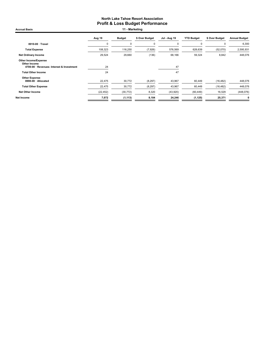Accrual Basis **11 - Marketing** 

|                                                                                          | Aug 19      | <b>Budget</b> | \$ Over Budget | Jul - Aug 19 | <b>YTD Budget</b> | \$ Over Budget | <b>Annual Budget</b> |
|------------------------------------------------------------------------------------------|-------------|---------------|----------------|--------------|-------------------|----------------|----------------------|
| 8910-00 · Travel                                                                         | $\mathbf 0$ | 0             | 0              | 0            | $\Omega$          | $\Omega$       | 6,300                |
| <b>Total Expense</b>                                                                     | 108,323     | 116,250       | (7,926)        | 576,569      | 628,639           | (52,070)       | 2,595,931            |
| <b>Net Ordinary Income</b>                                                               | 29,524      | 29,660        | (136)          | 68,166       | 59,324            | 8,842          | 448,076              |
| <b>Other Income/Expense</b><br>Other Income<br>4700-00 · Revenues- Interest & Investment | 24          |               |                | 47           |                   |                |                      |
| <b>Total Other Income</b>                                                                | 24          |               |                | 47           |                   |                |                      |
| <b>Other Expense</b><br>8990-00 · Allocated                                              | 22.475      | 30,772        | (8, 297)       | 43,967       | 60,449            | (16, 482)      | 448,076              |
| <b>Total Other Expense</b>                                                               | 22,475      | 30,772        | (8, 297)       | 43,967       | 60,449            | (16, 482)      | 448,076              |
| <b>Net Other Income</b>                                                                  | (22, 452)   | (30, 772)     | 8,320          | (43,920)     | (60, 449)         | 16,529         | (448, 076)           |
| Net Income                                                                               | 7,072       | (1, 113)      | 8,184          | 24,246       | (1, 125)          | 25,371         | $\mathbf 0$          |
|                                                                                          |             |               |                |              |                   |                |                      |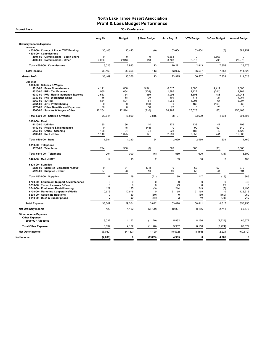| 30 - Conference<br><b>Accrual Basis</b>                                                                                                                                                                                                                                                                                                                                                                                                                                                                                                                                                                          |                                                                                                                                          |                                                                                                                            |                                                                                                                   |                                                                                                                                     |                                                                                                                                    |                                                                                                                     |                                                                                                                                                   |  |  |
|------------------------------------------------------------------------------------------------------------------------------------------------------------------------------------------------------------------------------------------------------------------------------------------------------------------------------------------------------------------------------------------------------------------------------------------------------------------------------------------------------------------------------------------------------------------------------------------------------------------|------------------------------------------------------------------------------------------------------------------------------------------|----------------------------------------------------------------------------------------------------------------------------|-------------------------------------------------------------------------------------------------------------------|-------------------------------------------------------------------------------------------------------------------------------------|------------------------------------------------------------------------------------------------------------------------------------|---------------------------------------------------------------------------------------------------------------------|---------------------------------------------------------------------------------------------------------------------------------------------------|--|--|
|                                                                                                                                                                                                                                                                                                                                                                                                                                                                                                                                                                                                                  | Aug 19                                                                                                                                   | <b>Budget</b>                                                                                                              | \$ Over Budget                                                                                                    | Jul - Aug 19                                                                                                                        | <b>YTD Budget</b>                                                                                                                  | \$ Over Budget                                                                                                      | <b>Annual Budget</b>                                                                                                                              |  |  |
| <b>Ordinary Income/Expense</b>                                                                                                                                                                                                                                                                                                                                                                                                                                                                                                                                                                                   |                                                                                                                                          |                                                                                                                            |                                                                                                                   |                                                                                                                                     |                                                                                                                                    |                                                                                                                     |                                                                                                                                                   |  |  |
| Income<br>4050-00 County of Placer TOT Funding<br>4600-00 Commissions                                                                                                                                                                                                                                                                                                                                                                                                                                                                                                                                            | 30,443                                                                                                                                   | 30,443                                                                                                                     | (0)                                                                                                               | 63,654                                                                                                                              | 63,654                                                                                                                             | (0)                                                                                                                 | 383,252                                                                                                                                           |  |  |
| 4601-00 Commissions - South Shore<br>4600-00 · Commissions - Other                                                                                                                                                                                                                                                                                                                                                                                                                                                                                                                                               | $\mathbf 0$<br>3,026                                                                                                                     | $\mathbf 0$<br>2,913                                                                                                       | $\Omega$<br>113                                                                                                   | 6,563<br>3,708                                                                                                                      | $\Omega$<br>2,913                                                                                                                  | 6,563<br>795                                                                                                        | $\mathbf 0$<br>28,276                                                                                                                             |  |  |
| Total 4600-00 · Commissions                                                                                                                                                                                                                                                                                                                                                                                                                                                                                                                                                                                      | 3,026                                                                                                                                    | 2,913                                                                                                                      | 113                                                                                                               | 10,271                                                                                                                              | 2,913                                                                                                                              | 7,358                                                                                                               | 28,276                                                                                                                                            |  |  |
| <b>Total Income</b>                                                                                                                                                                                                                                                                                                                                                                                                                                                                                                                                                                                              | 33,469                                                                                                                                   | 33,356                                                                                                                     | 113                                                                                                               | 73,925                                                                                                                              | 66,567                                                                                                                             | 7,358                                                                                                               | 411,528                                                                                                                                           |  |  |
| <b>Gross Profit</b>                                                                                                                                                                                                                                                                                                                                                                                                                                                                                                                                                                                              | 33,469                                                                                                                                   | 33,356                                                                                                                     | 113                                                                                                               | 73,925                                                                                                                              | 66,567                                                                                                                             | 7,358                                                                                                               | 411,528                                                                                                                                           |  |  |
| <b>Expense</b><br>5000-00 · Salaries & Wages<br>5010-00 · Sales Commissions<br>5020-00 · P/R - Tax Expense<br>5030-00 · P/R - Health Insurance Expense<br>5040-00 · P/R - Workmans Comp<br>5060-00 $\cdot$ 401 (k)<br>5061-00 · 401k Profit Sharing<br>5070-00 Other Benefits and Expenses<br>5000-00 · Salaries & Wages - Other<br>Total 5000-00 · Salaries & Wages<br>$5100-00 \cdot$ Rent<br>5110-00 · Utilities<br>5140-00 · Repairs & Maintenance<br>5150-00 Office - Cleaning<br>5100-00 · Rent - Other<br>Total 5100-00 · Rent<br>5310-00 · Telephone<br>5320-00 · Telephone<br>Total 5310-00 · Telephone | 4.141<br>960<br>2,613<br>116<br>554<br>$\mathbf 0$<br>56<br>12,204<br>20,644<br>80<br>$\mathbf 0$<br>128<br>1,146<br>1,354<br>294<br>294 | 800<br>1,064<br>1,754<br>88<br>501<br>80<br>$\Omega$<br>12,514<br>16,800<br>66<br>45<br>94<br>1,025<br>1,230<br>300<br>300 | 3.341<br>(104)<br>859<br>29<br>54<br>(80)<br>56<br>(310)<br>3,845<br>14<br>(45)<br>34<br>121<br>124<br>(6)<br>(6) | 6.017<br>1,886<br>3,996<br>199<br>1,065<br>$\mathbf 0$<br>73<br>24,962<br>38,197<br>179<br>0<br>228<br>2,291<br>2,699<br>569<br>569 | 1.600<br>2,127<br>3,508<br>175<br>1,001<br>160<br>$\Omega$<br>25,028<br>33,600<br>132<br>90<br>188<br>2,050<br>2,460<br>600<br>600 | 4.417<br>(241)<br>488<br>24<br>64<br>(160)<br>73<br>(66)<br>4,598<br>47<br>(90)<br>40<br>241<br>239<br>(31)<br>(31) | 9.600<br>12,764<br>21,048<br>1,051<br>6,007<br>960<br>$\Omega$<br>150,168<br>201,598<br>792<br>540<br>1,128<br>12,300<br>14,760<br>3,600<br>3,600 |  |  |
| 5420-00 Mail - USPS                                                                                                                                                                                                                                                                                                                                                                                                                                                                                                                                                                                              | 17                                                                                                                                       | 15                                                                                                                         | $\overline{2}$                                                                                                    | 33                                                                                                                                  | 30                                                                                                                                 | 3                                                                                                                   | 180                                                                                                                                               |  |  |
| 5520-00 · Supplies<br>5525-00 · Supplies- Computer <\$1000<br>5520-00 · Supplies - Other                                                                                                                                                                                                                                                                                                                                                                                                                                                                                                                         | $\pmb{0}$<br>37                                                                                                                          | 31<br>28                                                                                                                   | (31)<br>10                                                                                                        | $\pmb{0}$<br>99                                                                                                                     | 62<br>55                                                                                                                           | (62)<br>44                                                                                                          | 372<br>594                                                                                                                                        |  |  |
| Total 5520-00 · Supplies                                                                                                                                                                                                                                                                                                                                                                                                                                                                                                                                                                                         | 37                                                                                                                                       | 59                                                                                                                         | (21)                                                                                                              | 99                                                                                                                                  | 117                                                                                                                                | (18)                                                                                                                | 966                                                                                                                                               |  |  |
| 5700-00 · Equipment Support & Maintenance<br>5710-00 · Taxes, Licenses & Fees<br>5740-00 · Equipment Rental/Leasing<br>6730-00 · Marketing Cooperative/Media<br>8200-00 · Associate Relations<br>8810-00 · Dues & Subscriptions                                                                                                                                                                                                                                                                                                                                                                                  | $\mathbf 0$<br>$\mathbf 0$<br>122<br>10,576<br>0<br>$\overline{2}$                                                                       | $\mathbf 0$<br>$\mathbf 0$<br>125<br>10,576<br>80<br>20                                                                    | $\mathbf 0$<br>$\pmb{0}$<br>(3)<br>0<br>(80)<br>(18)                                                              | $\mathbf 0$<br>29<br>244<br>21,155<br>$\mathbf 0$<br>$\overline{2}$                                                                 | $\mathbf 0$<br>$\pmb{0}$<br>249<br>21,155<br>160<br>40                                                                             | $\mathbf 0$<br>29<br>(5)<br>$\mathbf 0$<br>(160)<br>(38)                                                            | 240<br>c<br>1,496<br>126,916<br>960<br>240                                                                                                        |  |  |
| <b>Total Expense</b>                                                                                                                                                                                                                                                                                                                                                                                                                                                                                                                                                                                             | 33,047                                                                                                                                   | 29,204                                                                                                                     | 3,842                                                                                                             | 63,028                                                                                                                              | 58,411                                                                                                                             | 4,617                                                                                                               | 350,956                                                                                                                                           |  |  |
| <b>Net Ordinary Income</b>                                                                                                                                                                                                                                                                                                                                                                                                                                                                                                                                                                                       | 423                                                                                                                                      | 4,152                                                                                                                      | (3,729)                                                                                                           | 10,897                                                                                                                              | 8,156                                                                                                                              | 2,741                                                                                                               | 60,572                                                                                                                                            |  |  |
| Other Income/Expense<br><b>Other Expense</b><br>8990-00 · Allocated                                                                                                                                                                                                                                                                                                                                                                                                                                                                                                                                              | 3,032                                                                                                                                    | 4,152                                                                                                                      | (1, 120)                                                                                                          | 5,932                                                                                                                               | 8,156                                                                                                                              | (2, 224)                                                                                                            | 60,572                                                                                                                                            |  |  |
| <b>Total Other Expense</b>                                                                                                                                                                                                                                                                                                                                                                                                                                                                                                                                                                                       | 3,032                                                                                                                                    | 4,152                                                                                                                      | (1, 120)                                                                                                          | 5,932                                                                                                                               | 8,156                                                                                                                              | (2, 224)                                                                                                            | 60,572                                                                                                                                            |  |  |
| <b>Net Other Income</b>                                                                                                                                                                                                                                                                                                                                                                                                                                                                                                                                                                                          | (3,032)                                                                                                                                  | (4, 152)                                                                                                                   | 1,120                                                                                                             | (5,932)                                                                                                                             | (8, 156)                                                                                                                           | 2,224                                                                                                               | (60, 572)                                                                                                                                         |  |  |
| Net Income                                                                                                                                                                                                                                                                                                                                                                                                                                                                                                                                                                                                       |                                                                                                                                          | $\mathbf{0}$                                                                                                               | (2,609)                                                                                                           | 4,965                                                                                                                               | 0                                                                                                                                  | 4,965                                                                                                               | $\mathbf{0}$                                                                                                                                      |  |  |
|                                                                                                                                                                                                                                                                                                                                                                                                                                                                                                                                                                                                                  | (2,609)                                                                                                                                  |                                                                                                                            |                                                                                                                   |                                                                                                                                     |                                                                                                                                    |                                                                                                                     |                                                                                                                                                   |  |  |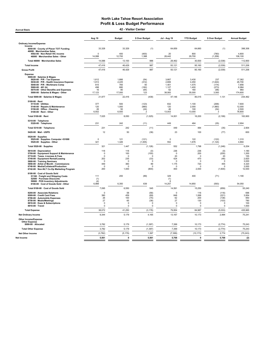Accrual Basis 42 - Visitor Center

|                                                                                                                                                                                                                                                                                                             | Aug 19                                                                         | <b>Budget</b>                                                               | \$ Over Budget                                                             | <b>Jul - Aug 19</b>                                                     | <b>YTD Budget</b>                                                 | \$ Over Budget                                                          | <b>Annual Budget</b>                                                |
|-------------------------------------------------------------------------------------------------------------------------------------------------------------------------------------------------------------------------------------------------------------------------------------------------------------|--------------------------------------------------------------------------------|-----------------------------------------------------------------------------|----------------------------------------------------------------------------|-------------------------------------------------------------------------|-------------------------------------------------------------------|-------------------------------------------------------------------------|---------------------------------------------------------------------|
| <b>Ordinary Income/Expense</b>                                                                                                                                                                                                                                                                              |                                                                                |                                                                             |                                                                            |                                                                         |                                                                   |                                                                         |                                                                     |
| Income<br>4050-00 · County of Placer TOT Funding                                                                                                                                                                                                                                                            | 33.328                                                                         | 33.329                                                                      | (1)                                                                        | 64.659                                                                  | 64,660                                                            | (1)                                                                     | 398.306                                                             |
| 46000 · Merchandise Sales<br>4502-00 · Non-Retail VIC income<br>46000 · Merchandise Sales - Other                                                                                                                                                                                                           | $\Omega$<br>14,088                                                             | 400<br>12,700                                                               | (400)<br>1,388                                                             | 20<br>28,442                                                            | 800<br>29,700                                                     | (780)<br>(1,258)                                                        | 4,800<br>108,100                                                    |
| Total 46000 · Merchandise Sales                                                                                                                                                                                                                                                                             | 14,088                                                                         | 13,100                                                                      | 988                                                                        | 28,462                                                                  | 30,500                                                            | (2,038)                                                                 | 112,900                                                             |
| <b>Total Income</b>                                                                                                                                                                                                                                                                                         | 47,416                                                                         | 46,429                                                                      | 987                                                                        | 93,121                                                                  | 95,160                                                            | (2,039)                                                                 | 511,206                                                             |
| <b>Gross Profit</b>                                                                                                                                                                                                                                                                                         | 47,416                                                                         | 46,429                                                                      | 987                                                                        | 93,121                                                                  | 95,160                                                            | (2,039)                                                                 | 511,206                                                             |
| <b>Expense</b><br>5000-00 · Salaries & Wages<br>5020-00 · P/R - Tax Expense<br>5030-00 · P/R - Health Insurance Expense<br>5040-00 · P/R - Workmans Comp<br>5060-00 $\cdot$ 401 (k)<br>5070-00 · Other Benefits and Expenses<br>5000-00 · Salaries & Wages - Other                                          | 1,612<br>1,913<br>815<br>498<br>16<br>17,123                                   | 1,666<br>2,225<br>765<br>680<br>80<br>17,000                                | (54)<br>(312)<br>50<br>(182)<br>(64)<br>123                                | 3,667<br>2,806<br>1,401<br>1,127<br>62<br>38,083                        | 3,430<br>4,450<br>1,575<br>1,400<br>160<br>35,000                 | 237<br>(1,644)<br>(174)<br>(273)<br>(98)<br>3,083                       | 17,362<br>26,700<br>7,856<br>6,984<br>960<br>174,600                |
| Total 5000-00 · Salaries & Wages                                                                                                                                                                                                                                                                            | 21,977                                                                         | 22,416                                                                      | (439)                                                                      | 47,146                                                                  | 46,015                                                            | 1,131                                                                   | 234,462                                                             |
| 5100-00 · Rent<br>5110-00 · Utilities<br>5140-00 · Repairs & Maintenance<br>5150-00 · Office - Cleaning<br>5100-00 · Rent - Other                                                                                                                                                                           | 377<br>120<br>26<br>6,502                                                      | 500<br>1,000<br>50<br>6,500                                                 | (123)<br>(880)<br>(24)<br>$\mathfrak{p}$                                   | 832<br>120<br>46<br>13,003                                              | 1,100<br>2,000<br>100<br>13,000                                   | (268)<br>(1,880)<br>(54)<br>$\overline{3}$                              | 7,600<br>12,000<br>2,500<br>78,800                                  |
| Total 5100-00 · Rent                                                                                                                                                                                                                                                                                        | 7,025                                                                          | 8,050                                                                       | (1,025)                                                                    | 14,001                                                                  | 16,200                                                            | (2, 199)                                                                | 100,900                                                             |
| 5310-00 · Telephone<br>5320-00 · Telephone                                                                                                                                                                                                                                                                  | 231                                                                            | 242                                                                         | (11)                                                                       | 449                                                                     | 484                                                               | (35)                                                                    | 2,904                                                               |
| Total 5310-00 · Telephone                                                                                                                                                                                                                                                                                   | 231                                                                            | 242                                                                         | (11)                                                                       | 449                                                                     | 484                                                               | (35)                                                                    | 2,904                                                               |
| 5420-00 · Mail - USPS                                                                                                                                                                                                                                                                                       | 12                                                                             | 50                                                                          | (38)                                                                       | 23                                                                      | 100                                                               | (77)                                                                    | 600                                                                 |
| 5520-00 · Supplies<br>5525-00 · Supplies- Computer <\$1000<br>5520-00 · Supplies - Other                                                                                                                                                                                                                    | $\mathbf 0$<br>321                                                             | 121<br>1,326                                                                | (121)<br>(1,005)                                                           | $\mathbf 0$<br>552                                                      | 122<br>1,676                                                      | (122)<br>(1, 124)                                                       | 1.310<br>4,894                                                      |
| Total 5520-00 · Supplies                                                                                                                                                                                                                                                                                    | 321                                                                            | 1,447                                                                       | (1, 126)                                                                   | 552                                                                     | 1,798                                                             | (1, 246)                                                                | 6,204                                                               |
| 5610-00 · Depreciation<br>5700-00 · Equipment Support & Maintenance<br>5710-00 · Taxes, Licenses & Fees<br>5740-00 · Equipment Rental/Leasing<br>5800-00 · Training Seminars<br>5850-00 Artist of Month - Commissions<br>6740-00 · Media/Collateral/Production<br>6742-00 · Non-NLT Co-Op Marketing Program | 118<br>$\Omega$<br>$\mathbf 0$<br>202<br>$\mathbf 0$<br>449<br>$\Omega$<br>200 | 118<br>100<br>$\mathbf 0$<br>235<br>$\mathbf 0$<br>360<br>$\Omega$<br>1,000 | (0)<br>(100)<br>$\Omega$<br>(33)<br>$\mathbf 0$<br>89<br>$\Omega$<br>(800) | 236<br>$\Omega$<br>20<br>424<br>$\mathbf 0$<br>1,175<br>$\Omega$<br>400 | 236<br>200<br>$\mathbf 0$<br>470<br>0<br>720<br>$\Omega$<br>2,000 | (0)<br>(200)<br>20<br>(46)<br>$\mathbf 0$<br>455<br>$\Omega$<br>(1,600) | 1,180<br>1,200<br>155<br>2,820<br>3,000<br>4,320<br>3,000<br>12,000 |
| 8100-00 · Cost of Goods Sold<br>51100 · Freight and Shipping Costs<br>52500 · Purchase Discounts<br>59900 · POS Inventory Adjustments                                                                                                                                                                       | 111<br>(1)<br>(4)                                                              | 200                                                                         | (89)                                                                       | 329<br>(1)<br>ĥ                                                         | 400                                                               | (71)                                                                    | 1,190                                                               |
| 8100-00 Cost of Goods Sold - Other                                                                                                                                                                                                                                                                          | 6,989                                                                          | 6,350                                                                       | 639                                                                        | 14,257                                                                  | 14,850                                                            | (593)                                                                   | 54,050                                                              |
| Total 8100-00 · Cost of Goods Sold                                                                                                                                                                                                                                                                          | 7,095                                                                          | 6,550                                                                       | 545                                                                        | 14,591                                                                  | 15,250                                                            | (659)                                                                   | 55,240                                                              |
| 8200-00 · Associate Relations<br>8500-00 · Credit Card Fees<br>8700-00 · Automobile Expenses<br>8750-00 · Meals/Meetings<br>8810-00 · Dues & Subscriptions<br>8910-00 Travel                                                                                                                                | $\Omega$<br>390<br>26<br>27<br>$\mathbf 0$<br>$\mathsf 0$                      | 58<br>459<br>100<br>65<br>$\mathbf 0$<br>0                                  | (58)<br>(69)<br>(75)<br>(38)<br>$\Omega$<br>$^{\circ}$                     | $\Omega$<br>848<br>62<br>27<br>$\mathbf 0$<br>0                         | 116<br>1,068<br>200<br>130<br>$\mathbf 0$<br>0                    | (116)<br>(221)<br>(138)<br>(103)<br>$\Omega$<br>$\mathbf 0$             | 696<br>3,954<br>950<br>780<br>100<br>1,500                          |
| <b>Total Expense</b>                                                                                                                                                                                                                                                                                        | 38,072                                                                         | 41,250                                                                      | (3, 178)                                                                   | 79,954                                                                  | 84,987                                                            | (5,033)                                                                 | 435,965                                                             |
| <b>Net Ordinary Income</b>                                                                                                                                                                                                                                                                                  | 9,344                                                                          | 5,179                                                                       | 4,165                                                                      | 13,167                                                                  | 10,173                                                            | 2,994                                                                   | 75,241                                                              |
| <b>Other Income/Expense</b><br><b>Other Expense</b><br>8990-00 · Allocated                                                                                                                                                                                                                                  | 3,782                                                                          | 5,179                                                                       | (1, 397)                                                                   | 7,399                                                                   | 10,173                                                            | (2,774)                                                                 | 75,243                                                              |
| <b>Total Other Expense</b>                                                                                                                                                                                                                                                                                  | 3,782                                                                          | 5,179                                                                       | (1, 397)                                                                   | 7,399                                                                   | 10,173                                                            | (2,774)                                                                 | 75,243                                                              |
| Net Other Income                                                                                                                                                                                                                                                                                            | (3, 782)                                                                       | (5, 179)                                                                    | 1,397                                                                      | (7, 399)                                                                | (10, 173)                                                         | 2,774                                                                   | (75, 243)                                                           |
| Net Income                                                                                                                                                                                                                                                                                                  | 5,561                                                                          | $\mathbf 0$                                                                 | 5,561                                                                      | 5,768                                                                   | 0                                                                 | 5,768                                                                   | (2)                                                                 |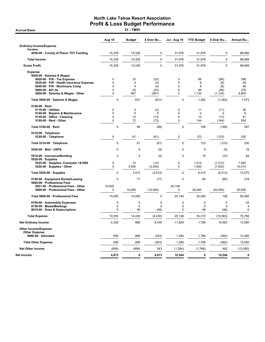**Accrual Basis** 

|                                                                            | Aug 19                     | <b>Budget</b>                 | \$ Over Bu      | <b>Jul - Aug 19</b>        | <b>YTD Budget</b> | \$ Over Bu          | Annual Bu        |
|----------------------------------------------------------------------------|----------------------------|-------------------------------|-----------------|----------------------------|-------------------|---------------------|------------------|
| <b>Ordinary Income/Expense</b>                                             |                            |                               |                 |                            |                   |                     |                  |
| Income<br>4050-00 · County of Placer TOT Funding                           | 15,329                     | 15,329                        | 0               | 31,976                     | 31,976            | 0                   | 88,866           |
| <b>Total Income</b>                                                        | 15,329                     | 15,329                        | $\mathbf 0$     | 31,976                     | 31,976            | $\mathbf 0$         | 88,866           |
| <b>Gross Profit</b>                                                        | 15,329                     | 15,329                        | $\mathbf{0}$    | 31,976                     | 31,976            | $\mathbf{0}$        | 88,866           |
| <b>Expense</b><br>5000-00 · Salaries & Wages                               |                            |                               |                 |                            |                   |                     |                  |
| 5020-00 · P/R - Tax Expense<br>5030-00 · P/R - Health Insurance Expense    | $\mathbf 0$<br>$\mathbf 0$ | 33<br>$\overline{4}$          | (33)<br>(4)     | $\mathbf 0$<br>$\mathbf 0$ | 66<br>8           | (66)<br>(8)         | 396<br>48        |
| 5040-00 · P/R - Workmans Comp                                              | $\mathbf 0$<br>$\mathbf 0$ | $\overline{4}$                | (4)             | 0<br>$\mathbf 0$           | 8                 | (8)                 | 48               |
| 5060-00 $\cdot$ 401 (k)<br>5000-00 · Salaries & Wages - Other              | 0                          | 23<br>567                     | (23)<br>(567)   | $\mathbf 0$                | 46<br>1,134       | (46)<br>(1, 134)    | 276<br>6,804     |
| Total 5000-00 · Salaries & Wages                                           | $\mathbf 0$                | 631                           | (631)           | $\mathbf 0$                | 1,262             | (1, 262)            | 7,572            |
| $5100-00 \cdot$ Rent                                                       |                            |                               |                 |                            |                   |                     |                  |
| 5110-00 · Utilities<br>5140-00 · Repairs & Maintenance                     | $\mathbf 0$<br>$\mathbf 0$ | $\overline{4}$<br>$\mathbf 0$ | (4)<br>0        | $\mathbf 0$<br>$\mathbf 0$ | 11<br>$\mathbf 0$ | (11)<br>$\Omega$    | 36<br>6          |
| 5150-00 · Office - Cleaning                                                | $\mathbf 0$                | 13                            | (13)            | $\mathbf 0$                | 13                | (13)                | 41               |
| 5100-00 · Rent - Other                                                     | $\pmb{0}$                  | 72                            | (72)            | $\mathbf 0$                | 144               | (144)               | 504              |
| Total 5100-00 · Rent                                                       | $\mathbf 0$                | 89                            | (89)            | $\mathbf 0$                | 168               | (168)               | 587              |
| 5310-00 · Telephone<br>5320-00 · Telephone                                 | $\pmb{0}$                  | 61                            | (61)            | $\pmb{0}$                  | 123               | (123)               | 230              |
| Total 5310-00 · Telephone                                                  | 0                          | 61                            | (61)            | $\mathbf 0$                | 123               | (123)               | 230              |
| 5420-00 · Mail - USPS                                                      | 0                          | 9                             | (9)             | 0                          | 9                 | (9)                 | 18               |
| 5510-00 · Insurance/Bonding<br>$5520-00 \cdot$ Supplies                    | $\mathbf 0$                | 5                             | (5)             | $\mathbf 0$                | 10                | (10)                | 64               |
| 5525-00 · Supplies- Computer <\$1000<br>5520-00 · Supplies - Other         | $\mathbf 0$<br>$\mathbf 0$ | 12<br>3,500                   | (12)<br>(3,500) | $\mathbf 0$<br>$\mathbf 0$ | 1,512<br>7,000    | (1, 512)<br>(7,000) | 1,560<br>10,510  |
| Total 5520-00 · Supplies                                                   | $\mathbf 0$                | 3,512                         | (3, 512)        | $\mathbf 0$                | 8,512             | (8, 512)            | 12,070           |
| 5740-00 · Equipment Rental/Leasing<br>5900-00 · Professional Fees          | 0                          | 77                            | (77)            | 0                          | 80                | (80)                | 216              |
| 5921-00 · Professional Fees - Other<br>5900-00 · Professional Fees - Other | 10,000<br>0                | 10,000                        | (10,000)        | 20,148<br>0                | 20,000            | (20,000)            | 55,000           |
| Total 5900-00 · Professional Fees                                          | 10,000                     | 10,000                        | $\mathbf 0$     | 20,148                     | 20,000            | 148                 | 55,000           |
| 8700-00 · Automobile Expenses                                              | $\mathbf 0$                | 0                             | $\mathbf 0$     | $\mathbf 0$                | $\mathbf 0$       | 0                   | 25               |
| 8750-00 · Meals/Meetings<br>8810-00 · Dues & Subscriptions                 | 0<br>0                     | 0<br>46                       | 0<br>(46)       | $\mathbf 0$<br>0           | $\mathbf 0$<br>46 | $\mathbf 0$<br>(46) | 4<br>$\mathbf 0$ |
| <b>Total Expense</b>                                                       | 10,000                     | 14,430                        | (4, 430)        | 20,148                     | 30,210            | (10,063)            | 75,786           |
| <b>Net Ordinary Income</b>                                                 | 5,329                      | 899                           | 4,430           | 11,829                     | 1,766             | 10,063              | 13,080           |
| <b>Other Income/Expense</b><br><b>Other Expense</b>                        |                            |                               |                 |                            |                   |                     |                  |
| 8990-00 · Allocated                                                        | 656                        | 899                           | (243)           | 1,284                      | 1,766             | (482)               | 13,080           |
| <b>Total Other Expense</b>                                                 | 656                        | 899                           | (243)           | 1,284                      | 1,766             | (482)               | 13,080           |
| <b>Net Other Income</b>                                                    | (656)                      | (899)                         | 243             | (1, 284)                   | (1,766)           | 482                 | (13,080)         |
| Net Income                                                                 | 4,673                      | $\mathbf 0$                   | 4,673           | 10.544                     | $\mathbf{0}$      | 10,544              | 0                |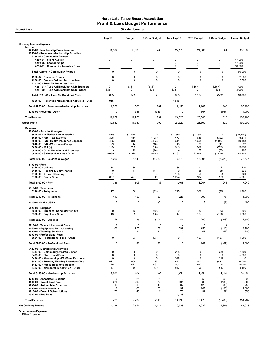| <b>Accrual Basis</b>                                                                                                                                                                                                                                                        | 60 - Membership                                    |                                                     |                                                 |                                        |                                    |                                                       |                                                  |  |
|-----------------------------------------------------------------------------------------------------------------------------------------------------------------------------------------------------------------------------------------------------------------------------|----------------------------------------------------|-----------------------------------------------------|-------------------------------------------------|----------------------------------------|------------------------------------|-------------------------------------------------------|--------------------------------------------------|--|
|                                                                                                                                                                                                                                                                             | Aug 19                                             | <b>Budget</b>                                       | \$ Over Budget                                  | <b>Jul - Aug 19</b>                    | <b>YTD Budget</b>                  | \$ Over Budget                                        | <b>Annual Budget</b>                             |  |
| <b>Ordinary Income/Expense</b>                                                                                                                                                                                                                                              |                                                    |                                                     |                                                 |                                        |                                    |                                                       |                                                  |  |
| Income<br>4200-00 · Membership Dues Revenue<br>4250-00 · Revenues-Membership Activities<br>4250-01 · Community Awards                                                                                                                                                       | 11,102                                             | 10,833                                              | 268                                             | 22,170                                 | 21,667                             | 504                                                   | 130.000                                          |  |
| 4250-04 · Silent Auction<br>4250-05 · Sponsorships                                                                                                                                                                                                                          | 0<br>0                                             | 0<br>0                                              | 0<br>0                                          | 0<br>0                                 | 0<br>$\mathbf 0$                   | 0<br>0                                                | 17,000<br>17,000                                 |  |
| 4250-01 Community Awards - Other                                                                                                                                                                                                                                            | 0<br>$\mathbf 0$                                   | 0<br>$\mathbf 0$                                    | 0<br>$\mathbf 0$                                | 0<br>0                                 | $\pmb{0}$<br>0                     | 0<br>$\mathsf 0$                                      | 16,000                                           |  |
| Total 4250-01 · Community Awards                                                                                                                                                                                                                                            |                                                    |                                                     |                                                 |                                        |                                    |                                                       | 50,000                                           |  |
| 4250-02 · Chamber Events<br>4250-03 · Summer/Winter Rec Luncheon<br>4251-00 · Tues AM Breakfast Club                                                                                                                                                                        | 0<br>0                                             | $\mathbf 0$<br>$\mathbf 0$                          | 0<br>$\mathbf 0$                                | 0<br>0                                 | 0<br>$\mathbf 0$                   | $\mathbf 0$<br>$\mathbf 0$                            | 2,500<br>2,700                                   |  |
| 4251-01 · Tues AM Breakfast Club Sponsors<br>4251-00 · Tues AM Breakfast Club - Other                                                                                                                                                                                       | $\Omega$<br>635                                    | 583<br>0                                            | (583)<br>635                                    | $\mathbf 0$<br>635                     | 1,167<br>0                         | (1, 167)<br>635                                       | 7,000<br>3,000                                   |  |
| Total 4251-00 · Tues AM Breakfast Club                                                                                                                                                                                                                                      | 635                                                | 583                                                 | 52                                              | 635                                    | 1,167                              | (532)                                                 | 10,000                                           |  |
| 4250-00 · Revenues-Membership Activities - Other                                                                                                                                                                                                                            | 915                                                |                                                     |                                                 | 1,515                                  |                                    |                                                       |                                                  |  |
| Total 4250-00 · Revenues-Membership Activities                                                                                                                                                                                                                              | 1,550                                              | 583                                                 | 967                                             | 2,150                                  | 1,167                              | 983                                                   | 65,200                                           |  |
| 4253-00 · Revenue-Other                                                                                                                                                                                                                                                     | 0                                                  | 333                                                 | (333)                                           | 0                                      | 667                                | (667)                                                 | 4,000                                            |  |
| <b>Total Income</b>                                                                                                                                                                                                                                                         | 12,652                                             | 11,750                                              | 902                                             | 24,320                                 | 23,500                             | 820                                                   | 199,200                                          |  |
| <b>Gross Profit</b>                                                                                                                                                                                                                                                         | 12,652                                             | 11,750                                              | 902                                             | 24,320                                 | 23,500                             | 820                                                   | 199,200                                          |  |
| <b>Expense</b><br>5000-00 · Salaries & Wages<br>5000-01 · In-Market Administration                                                                                                                                                                                          | (1, 375)                                           | (1, 375)                                            | 0                                               | (2,750)<br>477                         | (2,750)<br>869                     | 0                                                     | (16, 500)                                        |  |
| 5020-00 · P/R - Tax Expense<br>5030-00 · P/R - Health Insurance Expense<br>5040-00 · P/R - Workmans Comp<br>5060-00 $\cdot$ 401 (k)<br>5070-00 Other Benefits and Expenses<br>5000-00 · Salaries & Wages - Other                                                            | 306<br>426<br>29<br>195<br>(1)<br>5,685            | 434<br>849<br>44<br>253<br>13<br>6,329              | (128)<br>(423)<br>(16)<br>(58)<br>(14)<br>(644) | 611<br>48<br>303<br>4<br>9,182         | 1,698<br>89<br>506<br>27<br>12,658 | (392)<br>(1,087)<br>(41)<br>(203)<br>(23)<br>(3, 476) | 5,211<br>10,188<br>532<br>3,038<br>160<br>75,948 |  |
| Total 5000-00 · Salaries & Wages                                                                                                                                                                                                                                            | 5,266                                              | 6,548                                               | (1, 282)                                        | 7,873                                  | 13,096                             | (5,223)                                               | 78,577                                           |  |
| $5100-00 \cdot$ Rent                                                                                                                                                                                                                                                        |                                                    |                                                     |                                                 |                                        |                                    |                                                       |                                                  |  |
| $5110-00 \cdot$ Utilities<br>5140-00 · Repairs & Maintenance<br>5150-00 · Office - Cleaning<br>$5100-00 \cdot$ Rent - Other                                                                                                                                                 | 38<br>0<br>61<br>637                               | 36<br>44<br>27<br>497                               | $\overline{2}$<br>(44)<br>34<br>140             | 85<br>0<br>108<br>1,274                | 72<br>88<br>53<br>994              | 13<br>(88)<br>55<br>280                               | 430<br>525<br>320<br>5,965                       |  |
| Total 5100-00 · Rent                                                                                                                                                                                                                                                        | 736                                                | 603                                                 | 133                                             | 1,468                                  | 1,207                              | 261                                                   | 7,240                                            |  |
| 5310-00 · Telephone<br>5320-00 · Telephone                                                                                                                                                                                                                                  | 117                                                | 150                                                 | (33)                                            | 225                                    | 300                                | (75)                                                  | 1,800                                            |  |
| Total 5310-00 · Telephone                                                                                                                                                                                                                                                   | 117                                                | 150                                                 | (33)                                            | 225                                    | 300                                | (75)                                                  | 1,800                                            |  |
| 5420-00 Mail USPS                                                                                                                                                                                                                                                           | 8                                                  | 8                                                   | (0)                                             | 16                                     | 17                                 | (1)                                                   | 100                                              |  |
| $5520-00 \cdot$ Supplies<br>5525-00 · Supplies- Computer <\$1000<br>5520-00 · Supplies - Other                                                                                                                                                                              | 0<br>18                                            | 42<br>83                                            | (42)<br>(66)                                    | 0<br>47                                | 83<br>167                          | (83)<br>(120)                                         | 500<br>1,000                                     |  |
| Total 5520-00 · Supplies                                                                                                                                                                                                                                                    | 18                                                 | 125                                                 | (107)                                           | 47                                     | 250                                | (203)                                                 | 1,500                                            |  |
| 5710-00 · Taxes, Licenses & Fees<br>5740-00 · Equipment Rental/Leasing<br>5800-00 · Training Seminars                                                                                                                                                                       | 0<br>166<br>0                                      | 0<br>225<br>21                                      | 0<br>(59)<br>(21)                               | 14<br>332<br>0                         | $\mathbf 0$<br>450<br>42           | 14<br>(118)<br>(42)                                   | 0<br>2,700<br>250                                |  |
| 5900-00 · Professional Fees<br>5921-00 · Professional Fees - Other                                                                                                                                                                                                          | 0                                                  | 83                                                  | (83)                                            | 0                                      | 167                                | (167)                                                 | 1,000                                            |  |
| Total 5900-00 · Professional Fees                                                                                                                                                                                                                                           | 0                                                  | 83                                                  | (83)                                            | $\mathbf 0$                            | 167                                | (167)                                                 | 1,000                                            |  |
| 6423-00 · Membership Activities<br>6434-00 · Community Awards Dinner<br>6435-00 · Shop Local Event<br>6436-00 · Membership - Wnt/Sum Rec Lunch<br>6437-00 · Tuesday Morning Breakfast Club<br>6442-00 · Public Relations/Website<br>6423-00 · Membership Activities - Other | 0<br>0<br>0<br>513<br>1,248<br>47                  | 0<br>$\mathbf 0$<br>$\mathbf 0$<br>500<br>417<br>50 | 0<br>0<br>0<br>13<br>831<br>(3)                 | 285<br>0<br>318<br>513<br>1,557<br>617 | 0<br>0<br>0<br>1,000<br>833<br>100 | 285<br>0<br>318<br>(487)<br>724<br>517                | 27,500<br>5,000<br>0<br>6,000<br>5,000<br>8,500  |  |
| Total 6423-00 · Membership Activities                                                                                                                                                                                                                                       | 1,808                                              | 967                                                 | 841                                             | 3,290                                  | 1,933                              | 1,357                                                 | 52,000                                           |  |
| 8200-00 · Associate Relations<br>8500-00 Credit Card Fees<br>8700-00 · Automobile Expenses<br>8750-00 · Meals/Meetings<br>8810-00 · Dues & Subscriptions<br>8920-00 · Bad Debt                                                                                              | $\mathbf 0$<br>220<br>14<br>$\mathbf 0$<br>70<br>0 | 25<br>292<br>63<br>83<br>46                         | (25)<br>(72)<br>(48)<br>(83)<br>24              | 0<br>394<br>37<br>37<br>70<br>1,188    | 50<br>583<br>125<br>167<br>92      | (50)<br>(189)<br>(88)<br>(130)<br>(22)                | 300<br>3,500<br>750<br>1,000<br>550              |  |
| <b>Total Expense</b>                                                                                                                                                                                                                                                        | 8,423                                              | 9,239                                               | (816)                                           | 14,993                                 | 18,478                             | (3, 485)                                              | 151,267                                          |  |
| <b>Net Ordinary Income</b>                                                                                                                                                                                                                                                  | 4,228                                              | 2,511                                               | 1,717                                           | 9,328                                  | 5,022                              | 4,305                                                 | 47,933                                           |  |

Other Income/Expense Other Expense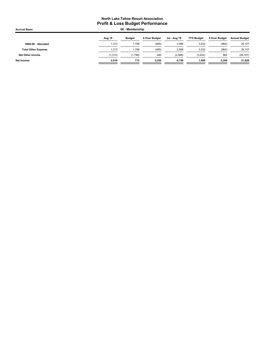| <b>Accrual Basis</b>       | 60 - Membership |               |                |              |                   |                |                      |
|----------------------------|-----------------|---------------|----------------|--------------|-------------------|----------------|----------------------|
|                            | Aug 19          | <b>Budget</b> | \$ Over Budget | Jul - Aug 19 | <b>YTD Budget</b> | \$ Over Budget | <b>Annual Budget</b> |
| 8990-00 · Allocated        | 1,313           | 1,798         | (485)          | 2,568        | 3,532             | (964)          | 26,107               |
| <b>Total Other Expense</b> | 1.313           | 1,798         | (485)          | 2,568        | 3,532             | (964)          | 26,107               |
| Net Other Income           | (1, 313)        | (1,798)       | 485            | (2,568)      | (3,532)           | 964            | (26, 107)            |
| Net Income                 | 2.916           | 713           | 2,202          | 6,759        | 1,490             | 5,269          | 21,826               |